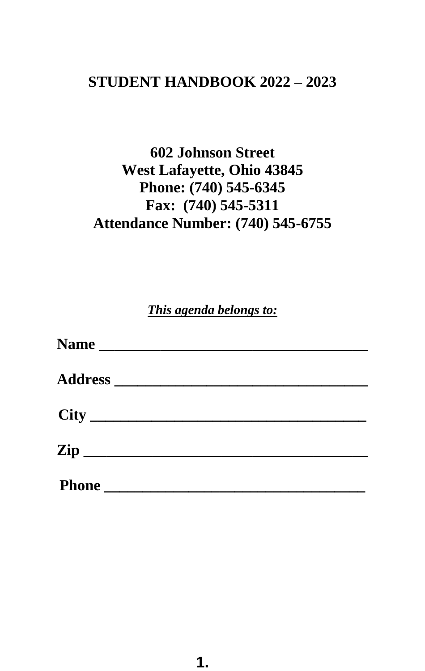## **STUDENT HANDBOOK 2022 – 2023**

# **602 Johnson Street West Lafayette, Ohio 43845 Phone: (740) 545-6345 Fax: (740) 545-5311 Attendance Number: (740) 545-6755**

*This agenda belongs to:*

| <b>Address _________________________</b> |  |  |
|------------------------------------------|--|--|
|                                          |  |  |
|                                          |  |  |
|                                          |  |  |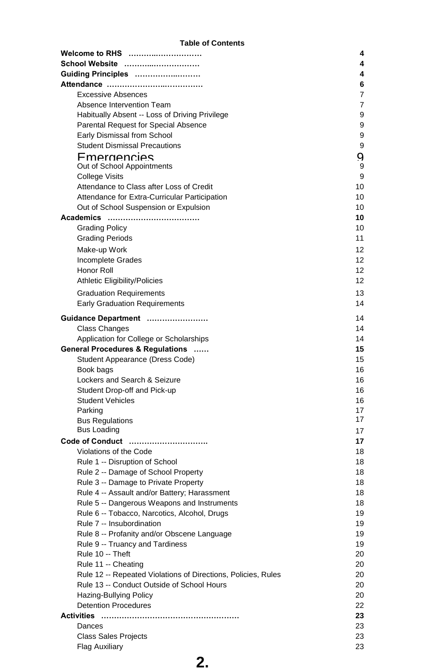#### **Table of Contents**

| Welcome to RHS                                                | 4  |
|---------------------------------------------------------------|----|
| School Website                                                | 4  |
| Guiding Principles                                            | 4  |
|                                                               | 6  |
| <b>Excessive Absences</b>                                     | 7  |
| Absence Intervention Team                                     | 7  |
| Habitually Absent -- Loss of Driving Privilege                | 9  |
| Parental Request for Special Absence                          | 9  |
| Early Dismissal from School                                   | 9  |
| <b>Student Dismissal Precautions</b>                          | 9  |
| Emergencies                                                   | q  |
| Out of School Appointments                                    | 9  |
| <b>College Visits</b>                                         | 9  |
| Attendance to Class after Loss of Credit                      | 10 |
| Attendance for Extra-Curricular Participation                 | 10 |
| Out of School Suspension or Expulsion                         | 10 |
|                                                               | 10 |
| <b>Grading Policy</b>                                         | 10 |
| <b>Grading Periods</b>                                        | 11 |
| Make-up Work                                                  | 12 |
| Incomplete Grades                                             | 12 |
| Honor Roll                                                    | 12 |
| Athletic Eligibility/Policies                                 | 12 |
| <b>Graduation Requirements</b>                                | 13 |
|                                                               | 14 |
| <b>Early Graduation Requirements</b>                          |    |
| Guidance Department                                           | 14 |
| <b>Class Changes</b>                                          | 14 |
| Application for College or Scholarships                       | 14 |
| General Procedures & Regulations                              | 15 |
| Student Appearance (Dress Code)                               | 15 |
| Book bags                                                     | 16 |
| Lockers and Search & Seizure                                  | 16 |
| Student Drop-off and Pick-up                                  | 16 |
| <b>Student Vehicles</b>                                       | 16 |
| Parking                                                       | 17 |
| <b>Bus Regulations</b>                                        | 17 |
| <b>Bus Loading</b>                                            | 17 |
| Code of Conduct                                               | 17 |
| Violations of the Code                                        | 18 |
| Rule 1 -- Disruption of School                                | 18 |
| Rule 2 -- Damage of School Property                           | 18 |
| Rule 3 -- Damage to Private Property                          | 18 |
| Rule 4 -- Assault and/or Battery; Harassment                  | 18 |
| Rule 5 -- Dangerous Weapons and Instruments                   | 18 |
| Rule 6 -- Tobacco, Narcotics, Alcohol, Drugs                  | 19 |
| Rule 7 -- Insubordination                                     | 19 |
| Rule 8 -- Profanity and/or Obscene Language                   | 19 |
| Rule 9 -- Truancy and Tardiness                               | 19 |
| Rule 10 -- Theft                                              | 20 |
| Rule 11 -- Cheating                                           | 20 |
| Rule 12 -- Repeated Violations of Directions, Policies, Rules | 20 |
| Rule 13 -- Conduct Outside of School Hours                    | 20 |
| Hazing-Bullying Policy                                        | 20 |
| <b>Detention Procedures</b>                                   | 22 |
|                                                               | 23 |
| Dances                                                        | 23 |
| <b>Class Sales Projects</b>                                   | 23 |
| Flag Auxiliary                                                | 23 |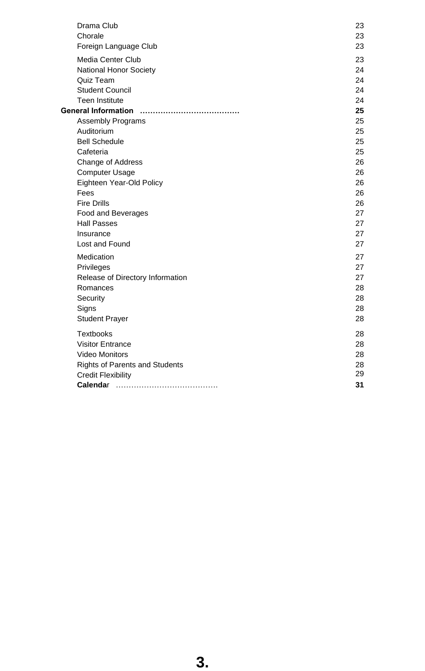| Drama Club                            | 23 |
|---------------------------------------|----|
| Chorale                               | 23 |
| Foreign Language Club                 | 23 |
| Media Center Club                     | 23 |
| National Honor Society                | 24 |
| Quiz Team                             | 24 |
| <b>Student Council</b>                | 24 |
| <b>Teen Institute</b>                 | 24 |
|                                       | 25 |
| <b>Assembly Programs</b>              | 25 |
| Auditorium                            | 25 |
| <b>Bell Schedule</b>                  | 25 |
| Cafeteria                             | 25 |
| Change of Address                     | 26 |
| <b>Computer Usage</b>                 | 26 |
| Eighteen Year-Old Policy              | 26 |
| Fees                                  | 26 |
| <b>Fire Drills</b>                    | 26 |
| Food and Beverages                    | 27 |
| <b>Hall Passes</b>                    | 27 |
| Insurance                             | 27 |
| Lost and Found                        | 27 |
| Medication                            | 27 |
| Privileges                            | 27 |
| Release of Directory Information      | 27 |
| Romances                              | 28 |
| Security                              | 28 |
| Signs                                 | 28 |
| <b>Student Prayer</b>                 | 28 |
| <b>Textbooks</b>                      | 28 |
| <b>Visitor Entrance</b>               | 28 |
| <b>Video Monitors</b>                 | 28 |
| <b>Rights of Parents and Students</b> | 28 |
| Credit Flexibility                    | 29 |
|                                       | 31 |
|                                       |    |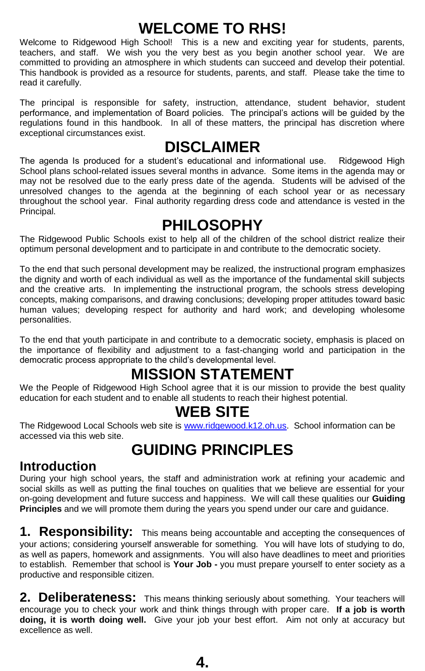# **WELCOME TO RHS!**

Welcome to Ridgewood High School! This is a new and exciting year for students, parents, teachers, and staff. We wish you the very best as you begin another school year. We are committed to providing an atmosphere in which students can succeed and develop their potential. This handbook is provided as a resource for students, parents, and staff. Please take the time to read it carefully.

The principal is responsible for safety, instruction, attendance, student behavior, student performance, and implementation of Board policies. The principal's actions will be guided by the regulations found in this handbook. In all of these matters, the principal has discretion where exceptional circumstances exist.

# **DISCLAIMER**

The agenda Is produced for a student's educational and informational use. Ridgewood High School plans school-related issues several months in advance. Some items in the agenda may or may not be resolved due to the early press date of the agenda. Students will be advised of the unresolved changes to the agenda at the beginning of each school year or as necessary throughout the school year. Final authority regarding dress code and attendance is vested in the Principal.

# **PHILOSOPHY**

The Ridgewood Public Schools exist to help all of the children of the school district realize their optimum personal development and to participate in and contribute to the democratic society.

To the end that such personal development may be realized, the instructional program emphasizes the dignity and worth of each individual as well as the importance of the fundamental skill subjects and the creative arts. In implementing the instructional program, the schools stress developing concepts, making comparisons, and drawing conclusions; developing proper attitudes toward basic human values; developing respect for authority and hard work; and developing wholesome personalities.

To the end that youth participate in and contribute to a democratic society, emphasis is placed on the importance of flexibility and adjustment to a fast-changing world and participation in the democratic process appropriate to the child's developmental level.

# **MISSION STATEMENT**

We the People of Ridgewood High School agree that it is our mission to provide the best quality education for each student and to enable all students to reach their highest potential.

## **WEB SITE**

The Ridgewood Local Schools web site is www.ridgewood.k12.oh.us. School information can be accessed via this web site.

# **GUIDING PRINCIPLES**

### **Introduction**

During your high school years, the staff and administration work at refining your academic and social skills as well as putting the final touches on qualities that we believe are essential for your on-going development and future success and happiness. We will call these qualities our **Guiding Principles** and we will promote them during the years you spend under our care and guidance.

**1. Responsibility:** This means being accountable and accepting the consequences of your actions; considering yourself answerable for something. You will have lots of studying to do, as well as papers, homework and assignments. You will also have deadlines to meet and priorities to establish. Remember that school is **Your Job -** you must prepare yourself to enter society as a productive and responsible citizen.

2. Deliberateness: This means thinking seriously about something. Your teachers will encourage you to check your work and think things through with proper care. **If a job is worth doing, it is worth doing well.** Give your job your best effort. Aim not only at accuracy but excellence as well.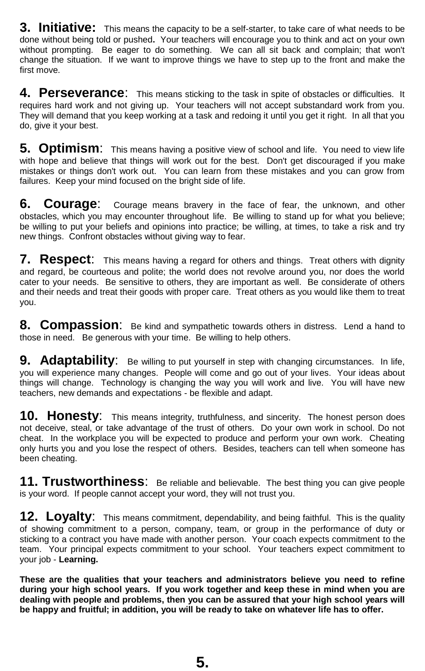**3.** Initiative: This means the capacity to be a self-starter, to take care of what needs to be done without being told or pushed**.** Your teachers will encourage you to think and act on your own without prompting. Be eager to do something. We can all sit back and complain; that won't change the situation. If we want to improve things we have to step up to the front and make the first move.

4. Perseverance: This means sticking to the task in spite of obstacles or difficulties. It requires hard work and not giving up. Your teachers will not accept substandard work from you. They will demand that you keep working at a task and redoing it until you get it right. In all that you do, give it your best.

**5. Optimism**: This means having a positive view of school and life. You need to view life with hope and believe that things will work out for the best. Don't get discouraged if you make mistakes or things don't work out. You can learn from these mistakes and you can grow from failures. Keep your mind focused on the bright side of life.

**6. Courage**: Courage means bravery in the face of fear, the unknown, and other obstacles, which you may encounter throughout life. Be willing to stand up for what you believe; be willing to put your beliefs and opinions into practice; be willing, at times, to take a risk and try new things. Confront obstacles without giving way to fear.

**7. Respect**: This means having a regard for others and things. Treat others with dignity and regard, be courteous and polite; the world does not revolve around you, nor does the world cater to your needs. Be sensitive to others, they are important as well. Be considerate of others and their needs and treat their goods with proper care. Treat others as you would like them to treat you.

**8. Compassion:** Be kind and sympathetic towards others in distress. Lend a hand to those in need. Be generous with your time. Be willing to help others.

**9. Adaptability:** Be willing to put yourself in step with changing circumstances. In life, you will experience many changes. People will come and go out of your lives. Your ideas about things will change. Technology is changing the way you will work and live. You will have new teachers, new demands and expectations - be flexible and adapt.

**10. Honesty:** This means integrity, truthfulness, and sincerity. The honest person does not deceive, steal, or take advantage of the trust of others. Do your own work in school. Do not cheat. In the workplace you will be expected to produce and perform your own work. Cheating only hurts you and you lose the respect of others. Besides, teachers can tell when someone has been cheating.

**11. Trustworthiness**: Be reliable and believable. The best thing you can give people is your word. If people cannot accept your word, they will not trust you.

**12. Loyalty:** This means commitment, dependability, and being faithful. This is the quality of showing commitment to a person, company, team, or group in the performance of duty or sticking to a contract you have made with another person. Your coach expects commitment to the team. Your principal expects commitment to your school. Your teachers expect commitment to your job - **Learning.**

**These are the qualities that your teachers and administrators believe you need to refine during your high school years. If you work together and keep these in mind when you are dealing with people and problems, then you can be assured that your high school years will be happy and fruitful; in addition, you will be ready to take on whatever life has to offer.**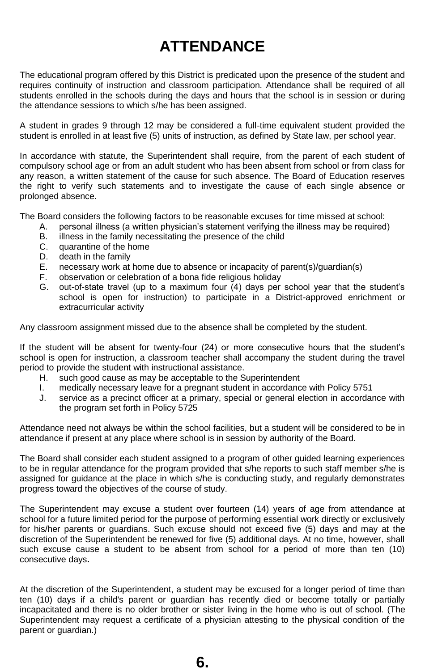# **ATTENDANCE**

The educational program offered by this District is predicated upon the presence of the student and requires continuity of instruction and classroom participation. Attendance shall be required of all students enrolled in the schools during the days and hours that the school is in session or during the attendance sessions to which s/he has been assigned.

A student in grades 9 through 12 may be considered a full-time equivalent student provided the student is enrolled in at least five (5) units of instruction, as defined by State law, per school year.

In accordance with statute, the Superintendent shall require, from the parent of each student of compulsory school age or from an adult student who has been absent from school or from class for any reason, a written statement of the cause for such absence. The Board of Education reserves the right to verify such statements and to investigate the cause of each single absence or prolonged absence.

The Board considers the following factors to be reasonable excuses for time missed at school:

- A. personal illness (a written physician's statement verifying the illness may be required)<br>B. illness in the family necessitating the presence of the child
- illness in the family necessitating the presence of the child
- C. quarantine of the home
- D. death in the family
- E. necessary work at home due to absence or incapacity of parent(s)/guardian(s)
- observation or celebration of a bona fide religious holiday
- G. out-of-state travel (up to a maximum four (4) days per school year that the student's school is open for instruction) to participate in a District-approved enrichment or extracurricular activity

Any classroom assignment missed due to the absence shall be completed by the student.

If the student will be absent for twenty-four (24) or more consecutive hours that the student's school is open for instruction, a classroom teacher shall accompany the student during the travel period to provide the student with instructional assistance.

- H. such good cause as may be acceptable to the Superintendent<br>I medically necessary leave for a pregnant student in accordance
- I. medically necessary leave for a pregnant student in accordance with Policy 5751<br>J. service as a precinct officer at a primary, special or general election in accordar
- service as a precinct officer at a primary, special or general election in accordance with the program set forth in Policy 5725

Attendance need not always be within the school facilities, but a student will be considered to be in attendance if present at any place where school is in session by authority of the Board.

The Board shall consider each student assigned to a program of other guided learning experiences to be in regular attendance for the program provided that s/he reports to such staff member s/he is assigned for guidance at the place in which s/he is conducting study, and regularly demonstrates progress toward the objectives of the course of study.

The Superintendent may excuse a student over fourteen (14) years of age from attendance at school for a future limited period for the purpose of performing essential work directly or exclusively for his/her parents or guardians. Such excuse should not exceed five (5) days and may at the discretion of the Superintendent be renewed for five (5) additional days. At no time, however, shall such excuse cause a student to be absent from school for a period of more than ten (10) consecutive days**.**

At the discretion of the Superintendent, a student may be excused for a longer period of time than ten (10) days if a child's parent or guardian has recently died or become totally or partially incapacitated and there is no older brother or sister living in the home who is out of school. (The Superintendent may request a certificate of a physician attesting to the physical condition of the parent or guardian.)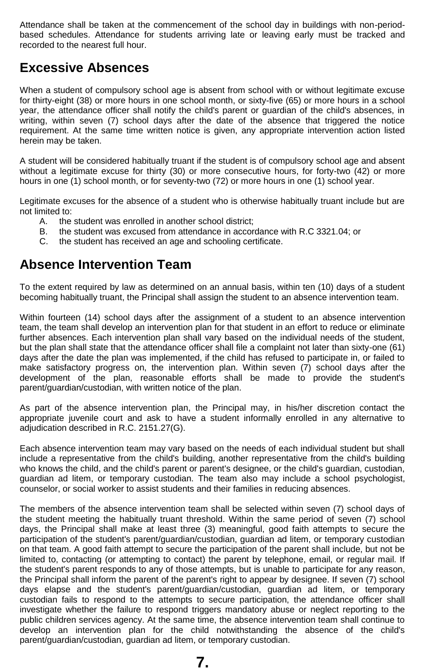Attendance shall be taken at the commencement of the school day in buildings with non-periodbased schedules. Attendance for students arriving late or leaving early must be tracked and recorded to the nearest full hour.

### **Excessive Absences**

When a student of compulsory school age is absent from school with or without legitimate excuse for thirty-eight (38) or more hours in one school month, or sixty-five (65) or more hours in a school year, the attendance officer shall notify the child's parent or guardian of the child's absences, in writing, within seven (7) school days after the date of the absence that triggered the notice requirement. At the same time written notice is given, any appropriate intervention action listed herein may be taken.

A student will be considered habitually truant if the student is of compulsory school age and absent without a legitimate excuse for thirty (30) or more consecutive hours, for forty-two (42) or more hours in one (1) school month, or for seventy-two (72) or more hours in one (1) school year.

Legitimate excuses for the absence of a student who is otherwise habitually truant include but are not limited to:

- A. the student was enrolled in another school district;<br>B. the student was excused from attendance in accord
- the student was excused from attendance in accordance with R.C 3321.04; or
- C. the student has received an age and schooling certificate.

### **Absence Intervention Team**

To the extent required by law as determined on an annual basis, within ten (10) days of a student becoming habitually truant, the Principal shall assign the student to an absence intervention team.

Within fourteen (14) school days after the assignment of a student to an absence intervention team, the team shall develop an intervention plan for that student in an effort to reduce or eliminate further absences. Each intervention plan shall vary based on the individual needs of the student, but the plan shall state that the attendance officer shall file a complaint not later than sixty-one (61) days after the date the plan was implemented, if the child has refused to participate in, or failed to make satisfactory progress on, the intervention plan. Within seven (7) school days after the development of the plan, reasonable efforts shall be made to provide the student's parent/guardian/custodian, with written notice of the plan.

As part of the absence intervention plan, the Principal may, in his/her discretion contact the appropriate juvenile court and ask to have a student informally enrolled in any alternative to adjudication described in R.C. 2151.27(G).

Each absence intervention team may vary based on the needs of each individual student but shall include a representative from the child's building, another representative from the child's building who knows the child, and the child's parent or parent's designee, or the child's guardian, custodian, guardian ad litem, or temporary custodian. The team also may include a school psychologist, counselor, or social worker to assist students and their families in reducing absences.

The members of the absence intervention team shall be selected within seven (7) school days of the student meeting the habitually truant threshold. Within the same period of seven (7) school days, the Principal shall make at least three (3) meaningful, good faith attempts to secure the participation of the student's parent/guardian/custodian, guardian ad litem, or temporary custodian on that team. A good faith attempt to secure the participation of the parent shall include, but not be limited to, contacting (or attempting to contact) the parent by telephone, email, or regular mail. If the student's parent responds to any of those attempts, but is unable to participate for any reason, the Principal shall inform the parent of the parent's right to appear by designee. If seven (7) school days elapse and the student's parent/guardian/custodian, guardian ad litem, or temporary custodian fails to respond to the attempts to secure participation, the attendance officer shall investigate whether the failure to respond triggers mandatory abuse or neglect reporting to the public children services agency. At the same time, the absence intervention team shall continue to develop an intervention plan for the child notwithstanding the absence of the child's parent/guardian/custodian, guardian ad litem, or temporary custodian.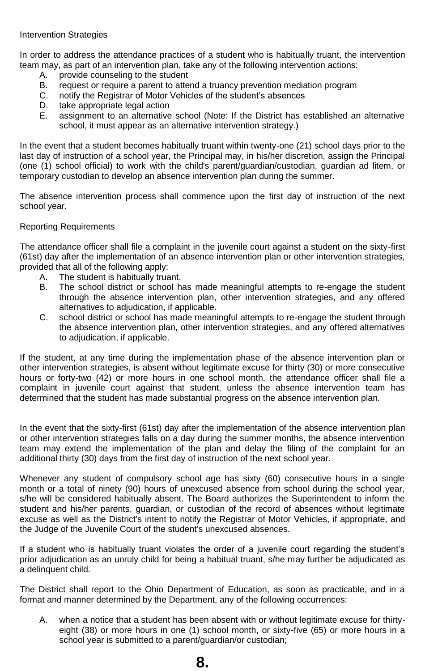In order to address the attendance practices of a student who is habitually truant, the intervention team may, as part of an intervention plan, take any of the following intervention actions:

- A. provide counseling to the student<br>B. request or require a parent to atter
- B. request or require a parent to attend a truancy prevention mediation program<br>C. notify the Registrar of Motor Vehicles of the student's absences
- notify the Registrar of Motor Vehicles of the student's absences
- D. take appropriate legal action
- E. assignment to an alternative school (Note: If the District has established an alternative school, it must appear as an alternative intervention strategy.)

In the event that a student becomes habitually truant within twenty-one (21) school days prior to the last day of instruction of a school year, the Principal may, in his/her discretion, assign the Principal (one (1) school official) to work with the child's parent/guardian/custodian, guardian ad litem, or temporary custodian to develop an absence intervention plan during the summer.

The absence intervention process shall commence upon the first day of instruction of the next school year.

#### Reporting Requirements

The attendance officer shall file a complaint in the juvenile court against a student on the sixty-first (61st) day after the implementation of an absence intervention plan or other intervention strategies, provided that all of the following apply:

- A. The student is habitually truant.
- B. The school district or school has made meaningful attempts to re-engage the student through the absence intervention plan, other intervention strategies, and any offered alternatives to adjudication, if applicable.
- C. school district or school has made meaningful attempts to re-engage the student through the absence intervention plan, other intervention strategies, and any offered alternatives to adjudication, if applicable.

If the student, at any time during the implementation phase of the absence intervention plan or other intervention strategies, is absent without legitimate excuse for thirty (30) or more consecutive hours or forty-two (42) or more hours in one school month, the attendance officer shall file a complaint in juvenile court against that student, unless the absence intervention team has determined that the student has made substantial progress on the absence intervention plan.

In the event that the sixty-first (61st) day after the implementation of the absence intervention plan or other intervention strategies falls on a day during the summer months, the absence intervention team may extend the implementation of the plan and delay the filing of the complaint for an additional thirty (30) days from the first day of instruction of the next school year.

Whenever any student of compulsory school age has sixty (60) consecutive hours in a single month or a total of ninety (90) hours of unexcused absence from school during the school year, s/he will be considered habitually absent. The Board authorizes the Superintendent to inform the student and his/her parents, guardian, or custodian of the record of absences without legitimate excuse as well as the District's intent to notify the Registrar of Motor Vehicles, if appropriate, and the Judge of the Juvenile Court of the student's unexcused absences.

If a student who is habitually truant violates the order of a juvenile court regarding the student's prior adjudication as an unruly child for being a habitual truant, s/he may further be adjudicated as a delinquent child.

The District shall report to the Ohio Department of Education, as soon as practicable, and in a format and manner determined by the Department, any of the following occurrences:

A. when a notice that a student has been absent with or without legitimate excuse for thirtyeight (38) or more hours in one (1) school month, or sixty-five (65) or more hours in a school year is submitted to a parent/guardian/or custodian;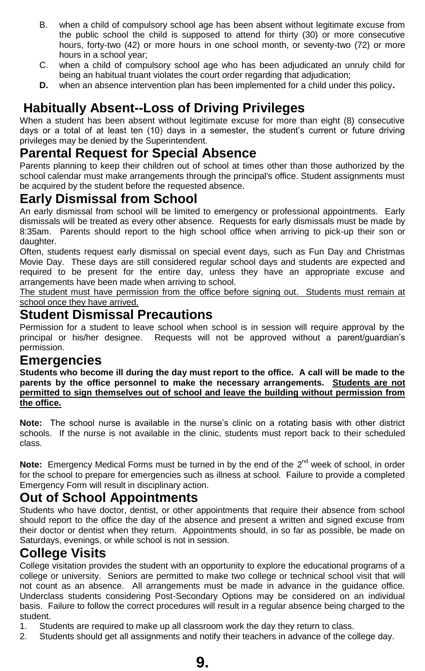- B. when a child of compulsory school age has been absent without legitimate excuse from the public school the child is supposed to attend for thirty (30) or more consecutive hours, forty-two (42) or more hours in one school month, or seventy-two (72) or more hours in a school year;
- C. when a child of compulsory school age who has been adjudicated an unruly child for being an habitual truant violates the court order regarding that adjudication;
- **D.** when an absence intervention plan has been implemented for a child under this policy**.**

## **Habitually Absent--Loss of Driving Privileges**

When a student has been absent without legitimate excuse for more than eight (8) consecutive days or a total of at least ten (10) days in a semester, the student's current or future driving privileges may be denied by the Superintendent.

### **Parental Request for Special Absence**

Parents planning to keep their children out of school at times other than those authorized by the school calendar must make arrangements through the principal's office. Student assignments must be acquired by the student before the requested absence.

### **Early Dismissal from School**

An early dismissal from school will be limited to emergency or professional appointments. Early dismissals will be treated as every other absence. Requests for early dismissals must be made by 8:35am. Parents should report to the high school office when arriving to pick-up their son or daughter.

Often, students request early dismissal on special event days, such as Fun Day and Christmas Movie Day. These days are still considered regular school days and students are expected and required to be present for the entire day, unless they have an appropriate excuse and arrangements have been made when arriving to school.

The student must have permission from the office before signing out. Students must remain at school once they have arrived.

### **Student Dismissal Precautions**

Permission for a student to leave school when school is in session will require approval by the principal or his/her designee. Requests will not be approved without a parent/guardian's permission.

#### **Emergencies**

**Students who become ill during the day must report to the office. A call will be made to the parents by the office personnel to make the necessary arrangements. Students are not permitted to sign themselves out of school and leave the building without permission from the office.**

**Note:** The school nurse is available in the nurse's clinic on a rotating basis with other district schools. If the nurse is not available in the clinic, students must report back to their scheduled class.

Note: Emergency Medical Forms must be turned in by the end of the 2<sup>nd</sup> week of school, in order for the school to prepare for emergencies such as illness at school. Failure to provide a completed Emergency Form will result in disciplinary action.

### **Out of School Appointments**

Students who have doctor, dentist, or other appointments that require their absence from school should report to the office the day of the absence and present a written and signed excuse from their doctor or dentist when they return. Appointments should, in so far as possible, be made on Saturdays, evenings, or while school is not in session.

### **College Visits**

College visitation provides the student with an opportunity to explore the educational programs of a college or university. Seniors are permitted to make two college or technical school visit that will not count as an absence. All arrangements must be made in advance in the guidance office. Underclass students considering Post-Secondary Options may be considered on an individual basis. Failure to follow the correct procedures will result in a regular absence being charged to the student.

- 1. Students are required to make up all classroom work the day they return to class.
- 2. Students should get all assignments and notify their teachers in advance of the college day.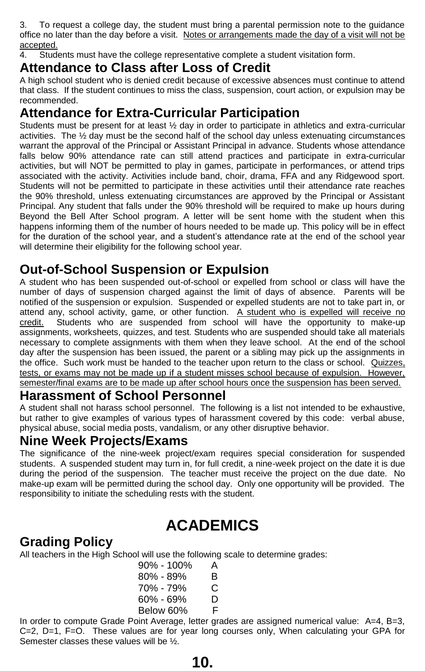3. To request a college day, the student must bring a parental permission note to the guidance office no later than the day before a visit. Notes or arrangements made the day of a visit will not be accepted.

4. Students must have the college representative complete a student visitation form.

### **Attendance to Class after Loss of Credit**

A high school student who is denied credit because of excessive absences must continue to attend that class. If the student continues to miss the class, suspension, court action, or expulsion may be recommended.

### **Attendance for Extra-Curricular Participation**

Students must be present for at least ½ day in order to participate in athletics and extra-curricular activities. The ½ day must be the second half of the school day unless extenuating circumstances warrant the approval of the Principal or Assistant Principal in advance. Students whose attendance falls below 90% attendance rate can still attend practices and participate in extra-curricular activities, but will NOT be permitted to play in games, participate in performances, or attend trips associated with the activity. Activities include band, choir, drama, FFA and any Ridgewood sport. Students will not be permitted to participate in these activities until their attendance rate reaches the 90% threshold, unless extenuating circumstances are approved by the Principal or Assistant Principal. Any student that falls under the 90% threshold will be required to make up hours during Beyond the Bell After School program. A letter will be sent home with the student when this happens informing them of the number of hours needed to be made up. This policy will be in effect for the duration of the school year, and a student's attendance rate at the end of the school year will determine their eligibility for the following school year.

### **Out-of-School Suspension or Expulsion**

A student who has been suspended out-of-school or expelled from school or class will have the number of days of suspension charged against the limit of days of absence. Parents will be notified of the suspension or expulsion. Suspended or expelled students are not to take part in, or attend any, school activity, game, or other function. A student who is expelled will receive no credit. Students who are suspended from school will have the opportunity to make-up assignments, worksheets, quizzes, and test. Students who are suspended should take all materials necessary to complete assignments with them when they leave school. At the end of the school day after the suspension has been issued, the parent or a sibling may pick up the assignments in the office. Such work must be handed to the teacher upon return to the class or school. Quizzes, tests, or exams may not be made up if a student misses school because of expulsion. However, semester/final exams are to be made up after school hours once the suspension has been served.

### **Harassment of School Personnel**

A student shall not harass school personnel. The following is a list not intended to be exhaustive, but rather to give examples of various types of harassment covered by this code: verbal abuse, physical abuse, social media posts, vandalism, or any other disruptive behavior.

### **Nine Week Projects/Exams**

The significance of the nine-week project/exam requires special consideration for suspended students. A suspended student may turn in, for full credit, a nine-week project on the date it is due during the period of the suspension. The teacher must receive the project on the due date. No make-up exam will be permitted during the school day. Only one opportunity will be provided. The responsibility to initiate the scheduling rests with the student.

# **ACADEMICS**

## **Grading Policy**

All teachers in the High School will use the following scale to determine grades:

| 90% - 100% | А |
|------------|---|
| 80% - 89%  | в |
| 70% - 79%  | C |
| 60% - 69%  | D |
| Below 60%  | F |

In order to compute Grade Point Average, letter grades are assigned numerical value: A=4, B=3, C=2, D=1, F=O. These values are for year long courses only, When calculating your GPA for Semester classes these values will be ½.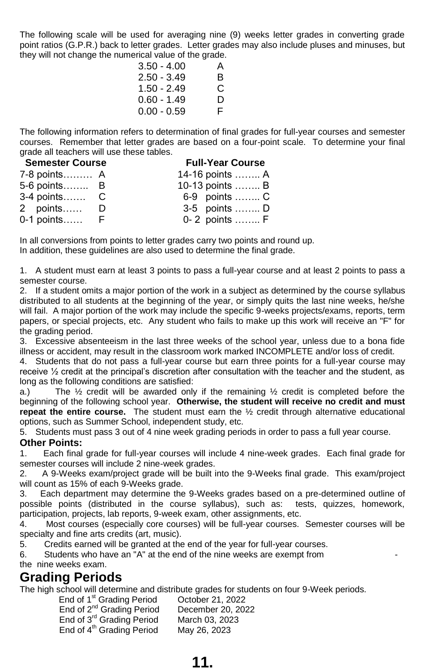The following scale will be used for averaging nine (9) weeks letter grades in converting grade point ratios (G.P.R.) back to letter grades. Letter grades may also include pluses and minuses, but they will not change the numerical value of the grade.

| $3.50 - 4.00$ | А |
|---------------|---|
| $2.50 - 3.49$ | R |
| 1.50 - 2.49   | C |
| $0.60 - 1.49$ | D |
| $0.00 - 0.59$ | F |

The following information refers to determination of final grades for full-year courses and semester courses. Remember that letter grades are based on a four-point scale. To determine your final grade all teachers will use these tables.

| <b>Semester Course</b> | <b>Full-Year Course</b> |  |  |
|------------------------|-------------------------|--|--|
| 7-8 points A           | 14-16 points  A         |  |  |
| 5-6 points B           | 10-13 points  B         |  |  |
| 3-4 points C           | 6-9 points  C           |  |  |
| 2 points D             | 3-5 points  D           |  |  |
| $0-1$ points $F$       | 0- 2 points $F$         |  |  |

In all conversions from points to letter grades carry two points and round up. In addition, these guidelines are also used to determine the final grade.

1. A student must earn at least 3 points to pass a full-year course and at least 2 points to pass a semester course.

2. If a student omits a major portion of the work in a subject as determined by the course syllabus distributed to all students at the beginning of the year, or simply quits the last nine weeks, he/she will fail. A major portion of the work may include the specific 9-weeks projects/exams, reports, term papers, or special projects, etc. Any student who fails to make up this work will receive an "F" for the grading period.

3. Excessive absenteeism in the last three weeks of the school year, unless due to a bona fide illness or accident, may result in the classroom work marked INCOMPLETE and/or loss of credit.

4. Students that do not pass a full-year course but earn three points for a full-year course may receive ½ credit at the principal's discretion after consultation with the teacher and the student, as long as the following conditions are satisfied:

a.) The  $\frac{1}{2}$  credit will be awarded only if the remaining  $\frac{1}{2}$  credit is completed before the beginning of the following school year. **Otherwise, the student will receive no credit and must repeat the entire course.** The student must earn the ½ credit through alternative educational options, such as Summer School, independent study, etc.

5. Students must pass 3 out of 4 nine week grading periods in order to pass a full year course. **Other Points:**

1. Each final grade for full-year courses will include 4 nine-week grades. Each final grade for semester courses will include 2 nine-week grades.

2. A 9-Weeks exam/project grade will be built into the 9-Weeks final grade. This exam/project will count as 15% of each 9-Weeks grade.

3. Each department may determine the 9-Weeks grades based on a pre-determined outline of possible points (distributed in the course syllabus), such as: participation, projects, lab reports, 9-week exam, other assignments, etc.

4. Most courses (especially core courses) will be full-year courses. Semester courses will be specialty and fine arts credits (art, music).

5. Credits earned will be granted at the end of the year for full-year courses.

6. Students who have an "A" at the end of the nine weeks are exempt from -

#### the nine weeks exam.

### **Grading Periods**

The high school will determine and distribute grades for students on four 9-Week periods.

End of 1<sup>st</sup> Grading Period October 21, 2022<br>End of 2<sup>nd</sup> Grading Period December 20, 2022 End of  $2^{nd}$  Grading Period End of 3rd Grading Period March 03, 2023 End of  $4^{\text{th}}$  Grading Period May 26, 2023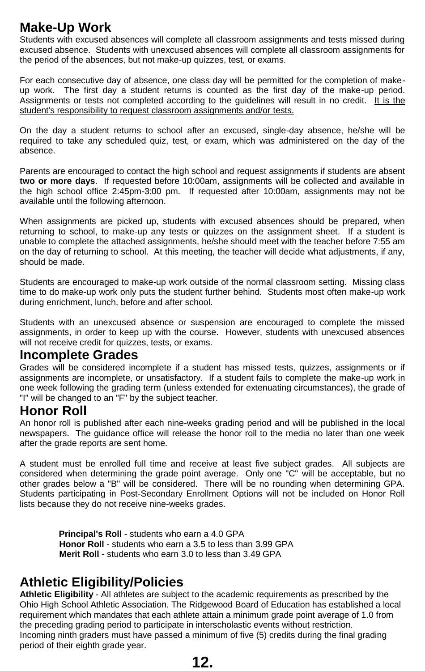### **Make-Up Work**

Students with excused absences will complete all classroom assignments and tests missed during excused absence. Students with unexcused absences will complete all classroom assignments for the period of the absences, but not make-up quizzes, test, or exams.

For each consecutive day of absence, one class day will be permitted for the completion of makeup work. The first day a student returns is counted as the first day of the make-up period. Assignments or tests not completed according to the guidelines will result in no credit. It is the student's responsibility to request classroom assignments and/or tests.

On the day a student returns to school after an excused, single-day absence, he/she will be required to take any scheduled quiz, test, or exam, which was administered on the day of the absence.

Parents are encouraged to contact the high school and request assignments if students are absent **two or more days**. If requested before 10:00am, assignments will be collected and available in the high school office 2:45pm-3:00 pm. If requested after 10:00am, assignments may not be available until the following afternoon.

When assignments are picked up, students with excused absences should be prepared, when returning to school, to make-up any tests or quizzes on the assignment sheet. If a student is unable to complete the attached assignments, he/she should meet with the teacher before 7:55 am on the day of returning to school. At this meeting, the teacher will decide what adjustments, if any, should be made.

Students are encouraged to make-up work outside of the normal classroom setting. Missing class time to do make-up work only puts the student further behind. Students most often make-up work during enrichment, lunch, before and after school.

Students with an unexcused absence or suspension are encouraged to complete the missed assignments, in order to keep up with the course. However, students with unexcused absences will not receive credit for quizzes, tests, or exams.

### **Incomplete Grades**

Grades will be considered incomplete if a student has missed tests, quizzes, assignments or if assignments are incomplete, or unsatisfactory. If a student fails to complete the make-up work in one week following the grading term (unless extended for extenuating circumstances), the grade of "I" will be changed to an "F" by the subject teacher.

### **Honor Roll**

An honor roll is published after each nine-weeks grading period and will be published in the local newspapers. The guidance office will release the honor roll to the media no later than one week after the grade reports are sent home.

A student must be enrolled full time and receive at least five subject grades. All subjects are considered when determining the grade point average. Only one "C" will be acceptable, but no other grades below a "B" will be considered. There will be no rounding when determining GPA. Students participating in Post-Secondary Enrollment Options will not be included on Honor Roll lists because they do not receive nine-weeks grades.

 **Principal's Roll** - students who earn a 4.0 GPA **Honor Roll** - students who earn a 3.5 to less than 3.99 GPA **Merit Roll** - students who earn 3.0 to less than 3.49 GPA

### **Athletic Eligibility/Policies**

**Athletic Eligibility** - All athletes are subject to the academic requirements as prescribed by the Ohio High School Athletic Association. The Ridgewood Board of Education has established a local requirement which mandates that each athlete attain a minimum grade point average of 1.0 from the preceding grading period to participate in interscholastic events without restriction. Incoming ninth graders must have passed a minimum of five (5) credits during the final grading period of their eighth grade year.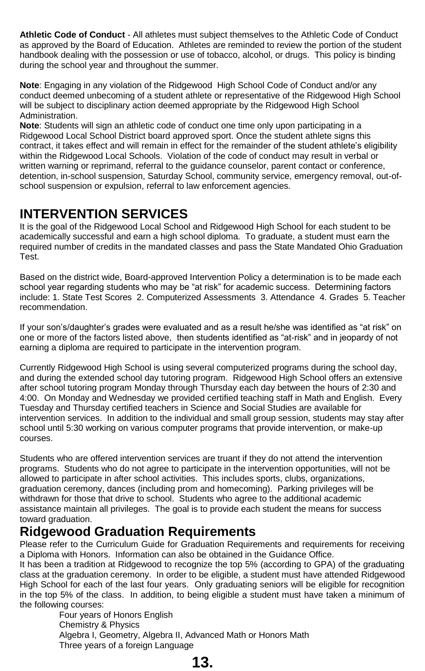**Athletic Code of Conduct** - All athletes must subject themselves to the Athletic Code of Conduct as approved by the Board of Education. Athletes are reminded to review the portion of the student handbook dealing with the possession or use of tobacco, alcohol, or drugs. This policy is binding during the school year and throughout the summer.

**Note**: Engaging in any violation of the Ridgewood High School Code of Conduct and/or any conduct deemed unbecoming of a student athlete or representative of the Ridgewood High School will be subject to disciplinary action deemed appropriate by the Ridgewood High School Administration.

**Note**: Students will sign an athletic code of conduct one time only upon participating in a Ridgewood Local School District board approved sport. Once the student athlete signs this contract, it takes effect and will remain in effect for the remainder of the student athlete's eligibility within the Ridgewood Local Schools. Violation of the code of conduct may result in verbal or written warning or reprimand, referral to the guidance counselor, parent contact or conference, detention, in-school suspension, Saturday School, community service, emergency removal, out-ofschool suspension or expulsion, referral to law enforcement agencies.

### **INTERVENTION SERVICES**

It is the goal of the Ridgewood Local School and Ridgewood High School for each student to be academically successful and earn a high school diploma. To graduate, a student must earn the required number of credits in the mandated classes and pass the State Mandated Ohio Graduation Test.

Based on the district wide, Board-approved Intervention Policy a determination is to be made each school year regarding students who may be "at risk" for academic success. Determining factors include: 1. State Test Scores 2. Computerized Assessments 3. Attendance 4. Grades 5. Teacher recommendation.

If your son's/daughter's grades were evaluated and as a result he/she was identified as "at risk" on one or more of the factors listed above, then students identified as "at-risk" and in jeopardy of not earning a diploma are required to participate in the intervention program.

Currently Ridgewood High School is using several computerized programs during the school day, and during the extended school day tutoring program. Ridgewood High School offers an extensive after school tutoring program Monday through Thursday each day between the hours of 2:30 and 4:00. On Monday and Wednesday we provided certified teaching staff in Math and English. Every Tuesday and Thursday certified teachers in Science and Social Studies are available for intervention services. In addition to the individual and small group session, students may stay after school until 5:30 working on various computer programs that provide intervention, or make-up courses.

Students who are offered intervention services are truant if they do not attend the intervention programs. Students who do not agree to participate in the intervention opportunities, will not be allowed to participate in after school activities. This includes sports, clubs, organizations, graduation ceremony, dances (including prom and homecoming). Parking privileges will be withdrawn for those that drive to school. Students who agree to the additional academic assistance maintain all privileges. The goal is to provide each student the means for success toward graduation.

### **Ridgewood Graduation Requirements**

Please refer to the Curriculum Guide for Graduation Requirements and requirements for receiving a Diploma with Honors. Information can also be obtained in the Guidance Office.

It has been a tradition at Ridgewood to recognize the top 5% (according to GPA) of the graduating class at the graduation ceremony. In order to be eligible, a student must have attended Ridgewood High School for each of the last four years. Only graduating seniors will be eligible for recognition in the top 5% of the class. In addition, to being eligible a student must have taken a minimum of the following courses:

Four years of Honors English Chemistry & Physics Algebra I, Geometry, Algebra II, Advanced Math or Honors Math Three years of a foreign Language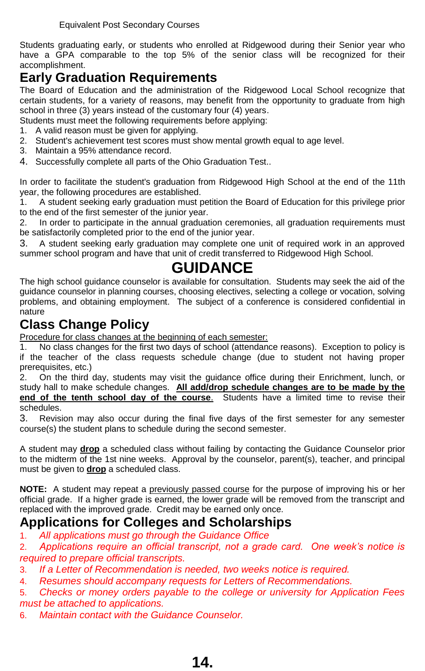Students graduating early, or students who enrolled at Ridgewood during their Senior year who have a GPA comparable to the top 5% of the senior class will be recognized for their accomplishment.

### **Early Graduation Requirements**

The Board of Education and the administration of the Ridgewood Local School recognize that certain students, for a variety of reasons, may benefit from the opportunity to graduate from high school in three (3) years instead of the customary four (4) years.

Students must meet the following requirements before applying:

- 1. A valid reason must be given for applying.
- 2. Student's achievement test scores must show mental growth equal to age level.
- 3. Maintain a 95% attendance record.
- 4. Successfully complete all parts of the Ohio Graduation Test..

In order to facilitate the student's graduation from Ridgewood High School at the end of the 11th year, the following procedures are established.

1. A student seeking early graduation must petition the Board of Education for this privilege prior to the end of the first semester of the junior year.

2. In order to participate in the annual graduation ceremonies, all graduation requirements must be satisfactorily completed prior to the end of the junior year.

3. A student seeking early graduation may complete one unit of required work in an approved summer school program and have that unit of credit transferred to Ridgewood High School.

# **GUIDANCE**

The high school guidance counselor is available for consultation. Students may seek the aid of the guidance counselor in planning courses, choosing electives, selecting a college or vocation, solving problems, and obtaining employment. The subject of a conference is considered confidential in nature

### **Class Change Policy**

Procedure for class changes at the beginning of each semester:

1. No class changes for the first two days of school (attendance reasons). Exception to policy is if the teacher of the class requests schedule change (due to student not having proper prerequisites, etc.)

2. On the third day, students may visit the guidance office during their Enrichment, lunch, or study hall to make schedule changes. **All add/drop schedule changes are to be made by the end of the tenth school day of the course**. Students have a limited time to revise their schedules.

3. Revision may also occur during the final five days of the first semester for any semester course(s) the student plans to schedule during the second semester.

A student may **drop** a scheduled class without failing by contacting the Guidance Counselor prior to the midterm of the 1st nine weeks. Approval by the counselor, parent(s), teacher, and principal must be given to **drop** a scheduled class.

**NOTE:** A student may repeat a previously passed course for the purpose of improving his or her official grade. If a higher grade is earned, the lower grade will be removed from the transcript and replaced with the improved grade. Credit may be earned only once.

### **Applications for Colleges and Scholarships**

- 1. *All applications must go through the Guidance Office*
- 2. *Applications require an official transcript, not a grade card. One week's notice is required to prepare official transcripts.*
- 3. *If a Letter of Recommendation is needed, two weeks notice is required.*
- 4. *Resumes should accompany requests for Letters of Recommendations.*
- 5. *Checks or money orders payable to the college or university for Application Fees must be attached to applications.*
- 6. *Maintain contact with the Guidance Counselor.*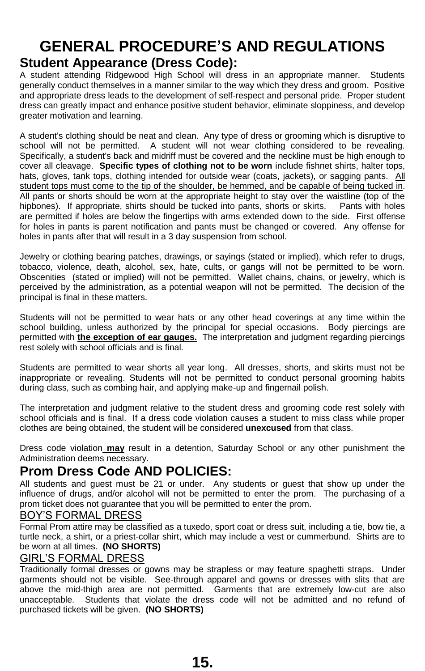# **GENERAL PROCEDURE'S AND REGULATIONS Student Appearance (Dress Code):**

A student attending Ridgewood High School will dress in an appropriate manner. Students generally conduct themselves in a manner similar to the way which they dress and groom. Positive and appropriate dress leads to the development of self-respect and personal pride. Proper student dress can greatly impact and enhance positive student behavior, eliminate sloppiness, and develop greater motivation and learning.

A student's clothing should be neat and clean. Any type of dress or grooming which is disruptive to school will not be permitted. A student will not wear clothing considered to be revealing. Specifically, a student's back and midriff must be covered and the neckline must be high enough to cover all cleavage. **Specific types of clothing not to be worn** include fishnet shirts, halter tops, hats, gloves, tank tops, clothing intended for outside wear (coats, jackets), or sagging pants. All student tops must come to the tip of the shoulder, be hemmed, and be capable of being tucked in. All pants or shorts should be worn at the appropriate height to stay over the waistline (top of the hipbones). If appropriate, shirts should be tucked into pants, shorts or skirts. Pants with holes are permitted if holes are below the fingertips with arms extended down to the side. First offense for holes in pants is parent notification and pants must be changed or covered. Any offense for holes in pants after that will result in a 3 day suspension from school.

Jewelry or clothing bearing patches, drawings, or sayings (stated or implied), which refer to drugs, tobacco, violence, death, alcohol, sex, hate, cults, or gangs will not be permitted to be worn. Obscenities (stated or implied) will not be permitted. Wallet chains, chains, or jewelry, which is perceived by the administration, as a potential weapon will not be permitted. The decision of the principal is final in these matters.

Students will not be permitted to wear hats or any other head coverings at any time within the school building, unless authorized by the principal for special occasions. Body piercings are permitted with **the exception of ear gauges.** The interpretation and judgment regarding piercings rest solely with school officials and is final.

Students are permitted to wear shorts all year long. All dresses, shorts, and skirts must not be inappropriate or revealing. Students will not be permitted to conduct personal grooming habits during class, such as combing hair, and applying make-up and fingernail polish.

The interpretation and judgment relative to the student dress and grooming code rest solely with school officials and is final. If a dress code violation causes a student to miss class while proper clothes are being obtained, the student will be considered **unexcused** from that class.

Dress code violation **may** result in a detention, Saturday School or any other punishment the Administration deems necessary.

### **Prom Dress Code AND POLICIES:**

All students and guest must be 21 or under. Any students or guest that show up under the influence of drugs, and/or alcohol will not be permitted to enter the prom. The purchasing of a prom ticket does not guarantee that you will be permitted to enter the prom.

#### BOY'S FORMAL DRESS

Formal Prom attire may be classified as a tuxedo, sport coat or dress suit, including a tie, bow tie, a turtle neck, a shirt, or a priest-collar shirt, which may include a vest or cummerbund. Shirts are to be worn at all times. **(NO SHORTS)**

#### GIRL'S FORMAL DRESS

Traditionally formal dresses or gowns may be strapless or may feature spaghetti straps. Under garments should not be visible. See-through apparel and gowns or dresses with slits that are above the mid-thigh area are not permitted. Garments that are extremely low-cut are also unacceptable. Students that violate the dress code will not be admitted and no refund of purchased tickets will be given. **(NO SHORTS)**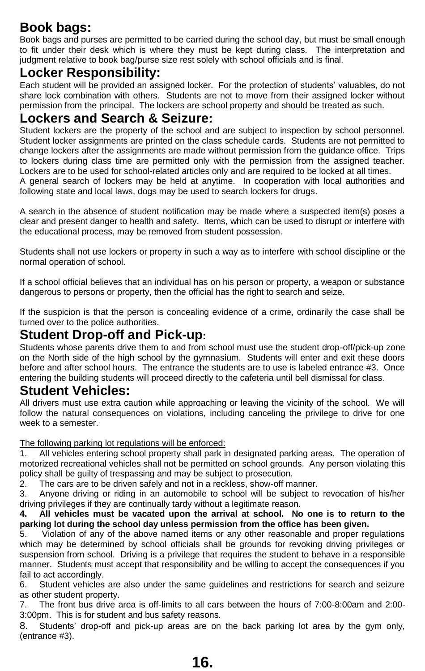# **Book bags:**

Book bags and purses are permitted to be carried during the school day, but must be small enough to fit under their desk which is where they must be kept during class. The interpretation and judgment relative to book bag/purse size rest solely with school officials and is final.

### **Locker Responsibility:**

Each student will be provided an assigned locker. For the protection of students' valuables, do not share lock combination with others. Students are not to move from their assigned locker without permission from the principal. The lockers are school property and should be treated as such.

### **Lockers and Search & Seizure:**

Student lockers are the property of the school and are subject to inspection by school personnel. Student locker assignments are printed on the class schedule cards. Students are not permitted to change lockers after the assignments are made without permission from the guidance office. Trips to lockers during class time are permitted only with the permission from the assigned teacher. Lockers are to be used for school-related articles only and are required to be locked at all times. A general search of lockers may be held at anytime. In cooperation with local authorities and following state and local laws, dogs may be used to search lockers for drugs.

A search in the absence of student notification may be made where a suspected item(s) poses a clear and present danger to health and safety. Items, which can be used to disrupt or interfere with the educational process, may be removed from student possession.

Students shall not use lockers or property in such a way as to interfere with school discipline or the normal operation of school.

If a school official believes that an individual has on his person or property, a weapon or substance dangerous to persons or property, then the official has the right to search and seize.

If the suspicion is that the person is concealing evidence of a crime, ordinarily the case shall be turned over to the police authorities.

### **Student Drop-off and Pick-up:**

Students whose parents drive them to and from school must use the student drop-off/pick-up zone on the North side of the high school by the gymnasium. Students will enter and exit these doors before and after school hours. The entrance the students are to use is labeled entrance #3. Once entering the building students will proceed directly to the cafeteria until bell dismissal for class.

### **Student Vehicles:**

All drivers must use extra caution while approaching or leaving the vicinity of the school. We will follow the natural consequences on violations, including canceling the privilege to drive for one week to a semester.

The following parking lot regulations will be enforced:

1. All vehicles entering school property shall park in designated parking areas. The operation of motorized recreational vehicles shall not be permitted on school grounds. Any person violating this policy shall be guilty of trespassing and may be subject to prosecution.

2. The cars are to be driven safely and not in a reckless, show-off manner.

3. Anyone driving or riding in an automobile to school will be subject to revocation of his/her driving privileges if they are continually tardy without a legitimate reason.

**4. All vehicles must be vacated upon the arrival at school. No one is to return to the parking lot during the school day unless permission from the office has been given.**

5. Violation of any of the above named items or any other reasonable and proper regulations which may be determined by school officials shall be grounds for revoking driving privileges or suspension from school. Driving is a privilege that requires the student to behave in a responsible manner. Students must accept that responsibility and be willing to accept the consequences if you fail to act accordingly.

6. Student vehicles are also under the same guidelines and restrictions for search and seizure as other student property.

7. The front bus drive area is off-limits to all cars between the hours of 7:00-8:00am and 2:00- 3:00pm. This is for student and bus safety reasons.

8. Students' drop-off and pick-up areas are on the back parking lot area by the gym only, (entrance #3).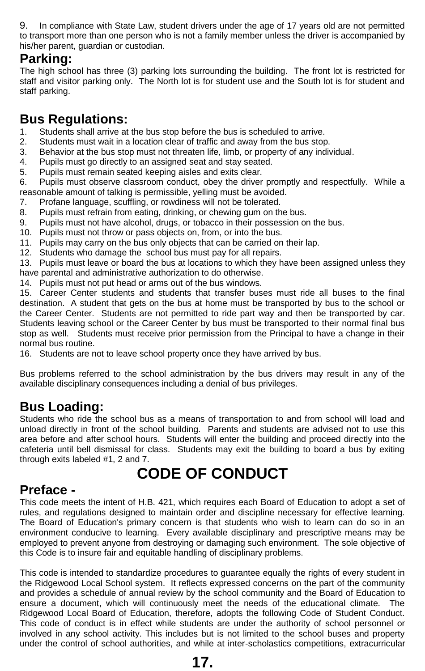9. In compliance with State Law, student drivers under the age of 17 years old are not permitted to transport more than one person who is not a family member unless the driver is accompanied by his/her parent, guardian or custodian.

### **Parking:**

The high school has three (3) parking lots surrounding the building. The front lot is restricted for staff and visitor parking only. The North lot is for student use and the South lot is for student and staff parking.

## **Bus Regulations:**

- 1. Students shall arrive at the bus stop before the bus is scheduled to arrive.
- 2. Students must wait in a location clear of traffic and away from the bus stop.
- Behavior at the bus stop must not threaten life, limb, or property of any individual.
- 4. Pupils must go directly to an assigned seat and stay seated.
- 5. Pupils must remain seated keeping aisles and exits clear.

6. Pupils must observe classroom conduct, obey the driver promptly and respectfully. While a reasonable amount of talking is permissible, yelling must be avoided.

- 7. Profane language, scuffling, or rowdiness will not be tolerated.
- 8. Pupils must refrain from eating, drinking, or chewing gum on the bus.
- 9. Pupils must not have alcohol, drugs, or tobacco in their possession on the bus.
- 10. Pupils must not throw or pass objects on, from, or into the bus.
- 11. Pupils may carry on the bus only objects that can be carried on their lap.
- 12. Students who damage the school bus must pay for all repairs.

13. Pupils must leave or board the bus at locations to which they have been assigned unless they have parental and administrative authorization to do otherwise.

14. Pupils must not put head or arms out of the bus windows.

15. Career Center students and students that transfer buses must ride all buses to the final destination. A student that gets on the bus at home must be transported by bus to the school or the Career Center. Students are not permitted to ride part way and then be transported by car. Students leaving school or the Career Center by bus must be transported to their normal final bus stop as well. Students must receive prior permission from the Principal to have a change in their normal bus routine.

16. Students are not to leave school property once they have arrived by bus.

Bus problems referred to the school administration by the bus drivers may result in any of the available disciplinary consequences including a denial of bus privileges.

### **Bus Loading:**

Students who ride the school bus as a means of transportation to and from school will load and unload directly in front of the school building. Parents and students are advised not to use this area before and after school hours. Students will enter the building and proceed directly into the cafeteria until bell dismissal for class. Students may exit the building to board a bus by exiting through exits labeled #1, 2 and 7.

# **CODE OF CONDUCT**

### **Preface -**

This code meets the intent of H.B. 421, which requires each Board of Education to adopt a set of rules, and regulations designed to maintain order and discipline necessary for effective learning. The Board of Education's primary concern is that students who wish to learn can do so in an environment conducive to learning. Every available disciplinary and prescriptive means may be employed to prevent anyone from destroying or damaging such environment. The sole objective of this Code is to insure fair and equitable handling of disciplinary problems.

This code is intended to standardize procedures to guarantee equally the rights of every student in the Ridgewood Local School system. It reflects expressed concerns on the part of the community and provides a schedule of annual review by the school community and the Board of Education to ensure a document, which will continuously meet the needs of the educational climate. The Ridgewood Local Board of Education, therefore, adopts the following Code of Student Conduct. This code of conduct is in effect while students are under the authority of school personnel or involved in any school activity. This includes but is not limited to the school buses and property under the control of school authorities, and while at inter-scholastics competitions, extracurricular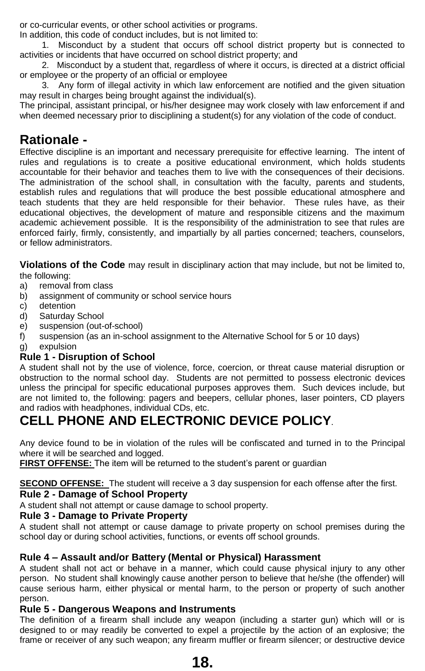or co-curricular events, or other school activities or programs.

In addition, this code of conduct includes, but is not limited to:

 1. Misconduct by a student that occurs off school district property but is connected to activities or incidents that have occurred on school district property; and

 2. Misconduct by a student that, regardless of where it occurs, is directed at a district official or employee or the property of an official or employee

 3. Any form of illegal activity in which law enforcement are notified and the given situation may result in charges being brought against the individual(s).

The principal, assistant principal, or his/her designee may work closely with law enforcement if and when deemed necessary prior to disciplining a student(s) for any violation of the code of conduct.

### **Rationale -**

Effective discipline is an important and necessary prerequisite for effective learning. The intent of rules and regulations is to create a positive educational environment, which holds students accountable for their behavior and teaches them to live with the consequences of their decisions. The administration of the school shall, in consultation with the faculty, parents and students, establish rules and regulations that will produce the best possible educational atmosphere and teach students that they are held responsible for their behavior. These rules have, as their educational objectives, the development of mature and responsible citizens and the maximum academic achievement possible. It is the responsibility of the administration to see that rules are enforced fairly, firmly, consistently, and impartially by all parties concerned; teachers, counselors, or fellow administrators.

**Violations of the Code** may result in disciplinary action that may include, but not be limited to, the following:

- a) removal from class<br>b) assignment of come
- assignment of community or school service hours
- c) detention
- d) Saturday School
- e) suspension (out-of-school)
- f) suspension (as an in-school assignment to the Alternative School for 5 or 10 days)
- g) expulsion

#### **Rule 1 - Disruption of School**

A student shall not by the use of violence, force, coercion, or threat cause material disruption or obstruction to the normal school day. Students are not permitted to possess electronic devices unless the principal for specific educational purposes approves them. Such devices include, but are not limited to, the following: pagers and beepers, cellular phones, laser pointers, CD players and radios with headphones, individual CDs, etc.

# **CELL PHONE AND ELECTRONIC DEVICE POLICY**.

Any device found to be in violation of the rules will be confiscated and turned in to the Principal where it will be searched and logged.

**FIRST OFFENSE:** The item will be returned to the student's parent or quardian

**SECOND OFFENSE:** The student will receive a 3 day suspension for each offense after the first.

#### **Rule 2 - Damage of School Property**

A student shall not attempt or cause damage to school property.

#### **Rule 3 - Damage to Private Property**

A student shall not attempt or cause damage to private property on school premises during the school day or during school activities, functions, or events off school grounds.

#### **Rule 4 – Assault and/or Battery (Mental or Physical) Harassment**

A student shall not act or behave in a manner, which could cause physical injury to any other person. No student shall knowingly cause another person to believe that he/she (the offender) will cause serious harm, either physical or mental harm, to the person or property of such another person.

#### **Rule 5 - Dangerous Weapons and Instruments**

The definition of a firearm shall include any weapon (including a starter gun) which will or is designed to or may readily be converted to expel a projectile by the action of an explosive; the frame or receiver of any such weapon; any firearm muffler or firearm silencer; or destructive device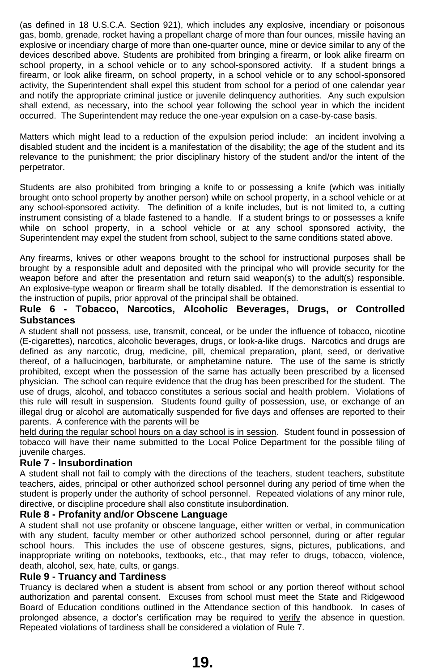(as defined in 18 U.S.C.A. Section 921), which includes any explosive, incendiary or poisonous gas, bomb, grenade, rocket having a propellant charge of more than four ounces, missile having an explosive or incendiary charge of more than one-quarter ounce, mine or device similar to any of the devices described above. Students are prohibited from bringing a firearm, or look alike firearm on school property, in a school vehicle or to any school-sponsored activity. If a student brings a firearm, or look alike firearm, on school property, in a school vehicle or to any school-sponsored activity, the Superintendent shall expel this student from school for a period of one calendar year and notify the appropriate criminal justice or juvenile delinquency authorities. Any such expulsion shall extend, as necessary, into the school year following the school year in which the incident occurred. The Superintendent may reduce the one-year expulsion on a case-by-case basis.

Matters which might lead to a reduction of the expulsion period include: an incident involving a disabled student and the incident is a manifestation of the disability; the age of the student and its relevance to the punishment; the prior disciplinary history of the student and/or the intent of the perpetrator.

Students are also prohibited from bringing a knife to or possessing a knife (which was initially brought onto school property by another person) while on school property, in a school vehicle or at any school-sponsored activity. The definition of a knife includes, but is not limited to, a cutting instrument consisting of a blade fastened to a handle. If a student brings to or possesses a knife while on school property, in a school vehicle or at any school sponsored activity, the Superintendent may expel the student from school, subject to the same conditions stated above.

Any firearms, knives or other weapons brought to the school for instructional purposes shall be brought by a responsible adult and deposited with the principal who will provide security for the weapon before and after the presentation and return said weapon(s) to the adult(s) responsible. An explosive-type weapon or firearm shall be totally disabled. If the demonstration is essential to the instruction of pupils, prior approval of the principal shall be obtained.

#### **Rule 6 - Tobacco, Narcotics, Alcoholic Beverages, Drugs, or Controlled Substances**

A student shall not possess, use, transmit, conceal, or be under the influence of tobacco, nicotine (E-cigarettes), narcotics, alcoholic beverages, drugs, or look-a-like drugs. Narcotics and drugs are defined as any narcotic, drug, medicine, pill, chemical preparation, plant, seed, or derivative thereof, of a hallucinogen, barbiturate, or amphetamine nature. The use of the same is strictly prohibited, except when the possession of the same has actually been prescribed by a licensed physician. The school can require evidence that the drug has been prescribed for the student. The use of drugs, alcohol, and tobacco constitutes a serious social and health problem. Violations of this rule will result in suspension. Students found guilty of possession, use, or exchange of an illegal drug or alcohol are automatically suspended for five days and offenses are reported to their parents. A conference with the parents will be

held during the regular school hours on a day school is in session. Student found in possession of tobacco will have their name submitted to the Local Police Department for the possible filing of juvenile charges.

#### **Rule 7 - Insubordination**

A student shall not fail to comply with the directions of the teachers, student teachers, substitute teachers, aides, principal or other authorized school personnel during any period of time when the student is properly under the authority of school personnel. Repeated violations of any minor rule, directive, or discipline procedure shall also constitute insubordination.

#### **Rule 8 - Profanity and/or Obscene Language**

A student shall not use profanity or obscene language, either written or verbal, in communication with any student, faculty member or other authorized school personnel, during or after regular school hours. This includes the use of obscene gestures, signs, pictures, publications, and inappropriate writing on notebooks, textbooks, etc., that may refer to drugs, tobacco, violence, death, alcohol, sex, hate, cults, or gangs.

#### **Rule 9 - Truancy and Tardiness**

Truancy is declared when a student is absent from school or any portion thereof without school authorization and parental consent. Excuses from school must meet the State and Ridgewood Board of Education conditions outlined in the Attendance section of this handbook. In cases of prolonged absence, a doctor's certification may be required to verify the absence in question. Repeated violations of tardiness shall be considered a violation of Rule 7.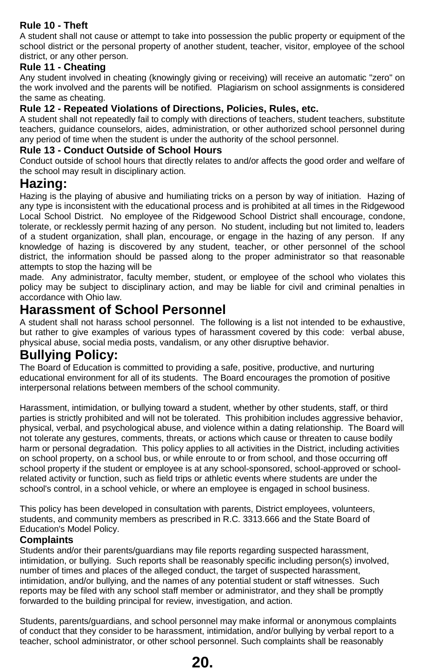#### **Rule 10 - Theft**

A student shall not cause or attempt to take into possession the public property or equipment of the school district or the personal property of another student, teacher, visitor, employee of the school district, or any other person.

#### **Rule 11 - Cheating**

Any student involved in cheating (knowingly giving or receiving) will receive an automatic "zero" on the work involved and the parents will be notified. Plagiarism on school assignments is considered the same as cheating.

#### **Rule 12 - Repeated Violations of Directions, Policies, Rules, etc.**

A student shall not repeatedly fail to comply with directions of teachers, student teachers, substitute teachers, guidance counselors, aides, administration, or other authorized school personnel during any period of time when the student is under the authority of the school personnel.

#### **Rule 13 - Conduct Outside of School Hours**

Conduct outside of school hours that directly relates to and/or affects the good order and welfare of the school may result in disciplinary action.

### **Hazing:**

Hazing is the playing of abusive and humiliating tricks on a person by way of initiation. Hazing of any type is inconsistent with the educational process and is prohibited at all times in the Ridgewood Local School District. No employee of the Ridgewood School District shall encourage, condone, tolerate, or recklessly permit hazing of any person. No student, including but not limited to, leaders of a student organization, shall plan, encourage, or engage in the hazing of any person. If any knowledge of hazing is discovered by any student, teacher, or other personnel of the school district, the information should be passed along to the proper administrator so that reasonable attempts to stop the hazing will be

made. Any administrator, faculty member, student, or employee of the school who violates this policy may be subject to disciplinary action, and may be liable for civil and criminal penalties in accordance with Ohio law.

### **Harassment of School Personnel**

A student shall not harass school personnel. The following is a list not intended to be exhaustive, but rather to give examples of various types of harassment covered by this code: verbal abuse, physical abuse, social media posts, vandalism, or any other disruptive behavior.

### **Bullying Policy:**

The Board of Education is committed to providing a safe, positive, productive, and nurturing educational environment for all of its students. The Board encourages the promotion of positive interpersonal relations between members of the school community.

Harassment, intimidation, or bullying toward a student, whether by other students, staff, or third parties is strictly prohibited and will not be tolerated. This prohibition includes aggressive behavior, physical, verbal, and psychological abuse, and violence within a dating relationship. The Board will not tolerate any gestures, comments, threats, or actions which cause or threaten to cause bodily harm or personal degradation. This policy applies to all activities in the District, including activities on school property, on a school bus, or while enroute to or from school, and those occurring off school property if the student or employee is at any school-sponsored, school-approved or schoolrelated activity or function, such as field trips or athletic events where students are under the school's control, in a school vehicle, or where an employee is engaged in school business.

This policy has been developed in consultation with parents, District employees, volunteers, students, and community members as prescribed in R.C. 3313.666 and the State Board of Education's Model Policy.

#### **Complaints**

Students and/or their parents/guardians may file reports regarding suspected harassment, intimidation, or bullying. Such reports shall be reasonably specific including person(s) involved, number of times and places of the alleged conduct, the target of suspected harassment, intimidation, and/or bullying, and the names of any potential student or staff witnesses. Such reports may be filed with any school staff member or administrator, and they shall be promptly forwarded to the building principal for review, investigation, and action.

Students, parents/guardians, and school personnel may make informal or anonymous complaints of conduct that they consider to be harassment, intimidation, and/or bullying by verbal report to a teacher, school administrator, or other school personnel. Such complaints shall be reasonably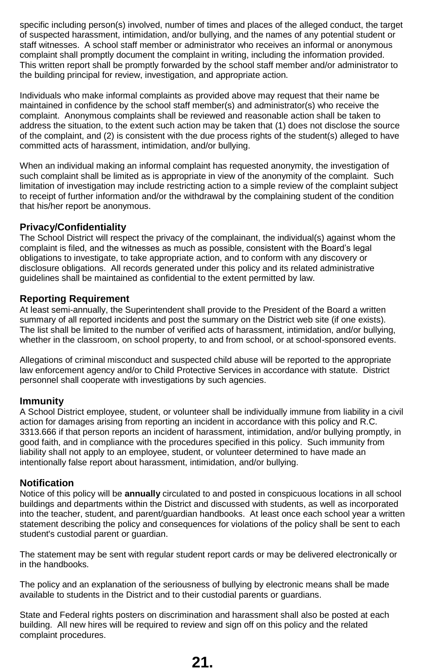specific including person(s) involved, number of times and places of the alleged conduct, the target of suspected harassment, intimidation, and/or bullying, and the names of any potential student or staff witnesses. A school staff member or administrator who receives an informal or anonymous complaint shall promptly document the complaint in writing, including the information provided. This written report shall be promptly forwarded by the school staff member and/or administrator to the building principal for review, investigation, and appropriate action.

Individuals who make informal complaints as provided above may request that their name be maintained in confidence by the school staff member(s) and administrator(s) who receive the complaint. Anonymous complaints shall be reviewed and reasonable action shall be taken to address the situation, to the extent such action may be taken that (1) does not disclose the source of the complaint, and (2) is consistent with the due process rights of the student(s) alleged to have committed acts of harassment, intimidation, and/or bullying.

When an individual making an informal complaint has requested anonymity, the investigation of such complaint shall be limited as is appropriate in view of the anonymity of the complaint. Such limitation of investigation may include restricting action to a simple review of the complaint subject to receipt of further information and/or the withdrawal by the complaining student of the condition that his/her report be anonymous.

#### **Privacy/Confidentiality**

The School District will respect the privacy of the complainant, the individual(s) against whom the complaint is filed, and the witnesses as much as possible, consistent with the Board's legal obligations to investigate, to take appropriate action, and to conform with any discovery or disclosure obligations. All records generated under this policy and its related administrative guidelines shall be maintained as confidential to the extent permitted by law.

#### **Reporting Requirement**

At least semi-annually, the Superintendent shall provide to the President of the Board a written summary of all reported incidents and post the summary on the District web site (if one exists). The list shall be limited to the number of verified acts of harassment, intimidation, and/or bullying, whether in the classroom, on school property, to and from school, or at school-sponsored events.

Allegations of criminal misconduct and suspected child abuse will be reported to the appropriate law enforcement agency and/or to Child Protective Services in accordance with statute. District personnel shall cooperate with investigations by such agencies.

#### **Immunity**

A School District employee, student, or volunteer shall be individually immune from liability in a civil action for damages arising from reporting an incident in accordance with this policy and R.C. 3313.666 if that person reports an incident of harassment, intimidation, and/or bullying promptly, in good faith, and in compliance with the procedures specified in this policy. Such immunity from liability shall not apply to an employee, student, or volunteer determined to have made an intentionally false report about harassment, intimidation, and/or bullying.

#### **Notification**

Notice of this policy will be **annually** circulated to and posted in conspicuous locations in all school buildings and departments within the District and discussed with students, as well as incorporated into the teacher, student, and parent/guardian handbooks. At least once each school year a written statement describing the policy and consequences for violations of the policy shall be sent to each student's custodial parent or guardian.

The statement may be sent with regular student report cards or may be delivered electronically or in the handbooks.

The policy and an explanation of the seriousness of bullying by electronic means shall be made available to students in the District and to their custodial parents or guardians.

State and Federal rights posters on discrimination and harassment shall also be posted at each building. All new hires will be required to review and sign off on this policy and the related complaint procedures.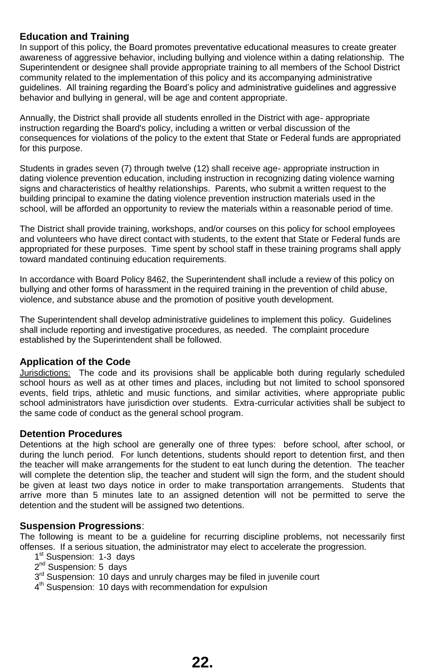#### **Education and Training**

In support of this policy, the Board promotes preventative educational measures to create greater awareness of aggressive behavior, including bullying and violence within a dating relationship. The Superintendent or designee shall provide appropriate training to all members of the School District community related to the implementation of this policy and its accompanying administrative guidelines. All training regarding the Board's policy and administrative guidelines and aggressive behavior and bullying in general, will be age and content appropriate.

Annually, the District shall provide all students enrolled in the District with age- appropriate instruction regarding the Board's policy, including a written or verbal discussion of the consequences for violations of the policy to the extent that State or Federal funds are appropriated for this purpose.

Students in grades seven (7) through twelve (12) shall receive age- appropriate instruction in dating violence prevention education, including instruction in recognizing dating violence warning signs and characteristics of healthy relationships. Parents, who submit a written request to the building principal to examine the dating violence prevention instruction materials used in the school, will be afforded an opportunity to review the materials within a reasonable period of time.

The District shall provide training, workshops, and/or courses on this policy for school employees and volunteers who have direct contact with students, to the extent that State or Federal funds are appropriated for these purposes. Time spent by school staff in these training programs shall apply toward mandated continuing education requirements.

In accordance with Board Policy 8462, the Superintendent shall include a review of this policy on bullying and other forms of harassment in the required training in the prevention of child abuse, violence, and substance abuse and the promotion of positive youth development.

The Superintendent shall develop administrative guidelines to implement this policy. Guidelines shall include reporting and investigative procedures, as needed. The complaint procedure established by the Superintendent shall be followed.

#### **Application of the Code**

Jurisdictions: The code and its provisions shall be applicable both during regularly scheduled school hours as well as at other times and places, including but not limited to school sponsored events, field trips, athletic and music functions, and similar activities, where appropriate public school administrators have jurisdiction over students. Extra-curricular activities shall be subject to the same code of conduct as the general school program.

#### **Detention Procedures**

Detentions at the high school are generally one of three types: before school, after school, or during the lunch period. For lunch detentions, students should report to detention first, and then the teacher will make arrangements for the student to eat lunch during the detention. The teacher will complete the detention slip, the teacher and student will sign the form, and the student should be given at least two days notice in order to make transportation arrangements. Students that arrive more than 5 minutes late to an assigned detention will not be permitted to serve the detention and the student will be assigned two detentions.

#### **Suspension Progressions**:

The following is meant to be a guideline for recurring discipline problems, not necessarily first offenses. If a serious situation, the administrator may elect to accelerate the progression.

- 1<sup>st</sup> Suspension: 1-3 days
- 2<sup>nd</sup> Suspension: 5 days
- 3<sup>rd</sup> Suspension: 10 days and unruly charges may be filed in juvenile court
- 4<sup>th</sup> Suspension: 10 days with recommendation for expulsion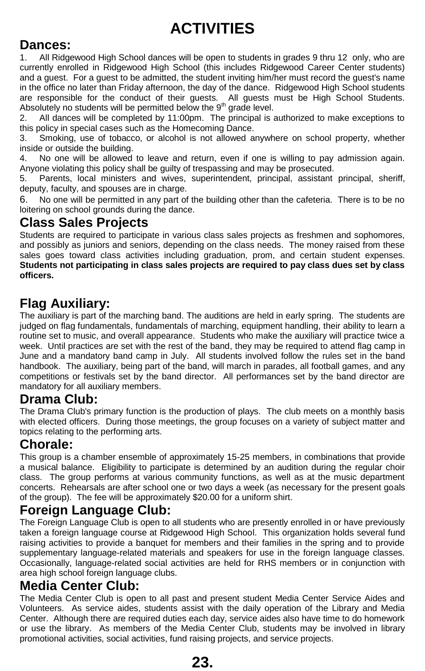# **ACTIVITIES**

### **Dances:**

1. All Ridgewood High School dances will be open to students in grades 9 thru 12 only, who are currently enrolled in Ridgewood High School (this includes Ridgewood Career Center students) and a guest. For a guest to be admitted, the student inviting him/her must record the guest's name in the office no later than Friday afternoon, the day of the dance. Ridgewood High School students are responsible for the conduct of their guests. All guests must be High School Students. Absolutely no students will be permitted below the 9<sup>th</sup> grade level.

2. All dances will be completed by 11:00pm. The principal is authorized to make exceptions to this policy in special cases such as the Homecoming Dance.

3. Smoking, use of tobacco, or alcohol is not allowed anywhere on school property, whether inside or outside the building.

4. No one will be allowed to leave and return, even if one is willing to pay admission again. Anyone violating this policy shall be guilty of trespassing and may be prosecuted.

5. Parents, local ministers and wives, superintendent, principal, assistant principal, sheriff, deputy, faculty, and spouses are in charge.

6. No one will be permitted in any part of the building other than the cafeteria. There is to be no loitering on school grounds during the dance.

### **Class Sales Projects**

Students are required to participate in various class sales projects as freshmen and sophomores, and possibly as juniors and seniors, depending on the class needs. The money raised from these sales goes toward class activities including graduation, prom, and certain student expenses. **Students not participating in class sales projects are required to pay class dues set by class officers.**

# **Flag Auxiliary:**

The auxiliary is part of the marching band. The auditions are held in early spring. The students are judged on flag fundamentals, fundamentals of marching, equipment handling, their ability to learn a routine set to music, and overall appearance. Students who make the auxiliary will practice twice a week. Until practices are set with the rest of the band, they may be required to attend flag camp in June and a mandatory band camp in July. All students involved follow the rules set in the band handbook. The auxiliary, being part of the band, will march in parades, all football games, and any competitions or festivals set by the band director. All performances set by the band director are mandatory for all auxiliary members.

### **Drama Club:**

The Drama Club's primary function is the production of plays. The club meets on a monthly basis with elected officers. During those meetings, the group focuses on a variety of subject matter and topics relating to the performing arts.

### **Chorale:**

This group is a chamber ensemble of approximately 15-25 members, in combinations that provide a musical balance. Eligibility to participate is determined by an audition during the regular choir class. The group performs at various community functions, as well as at the music department concerts. Rehearsals are after school one or two days a week (as necessary for the present goals of the group). The fee will be approximately \$20.00 for a uniform shirt.

### **Foreign Language Club:**

The Foreign Language Club is open to all students who are presently enrolled in or have previously taken a foreign language course at Ridgewood High School. This organization holds several fund raising activities to provide a banquet for members and their families in the spring and to provide supplementary language-related materials and speakers for use in the foreign language classes. Occasionally, language-related social activities are held for RHS members or in conjunction with area high school foreign language clubs.

### **Media Center Club:**

The Media Center Club is open to all past and present student Media Center Service Aides and Volunteers. As service aides, students assist with the daily operation of the Library and Media Center. Although there are required duties each day, service aides also have time to do homework or use the library. As members of the Media Center Club, students may be involved in library promotional activities, social activities, fund raising projects, and service projects.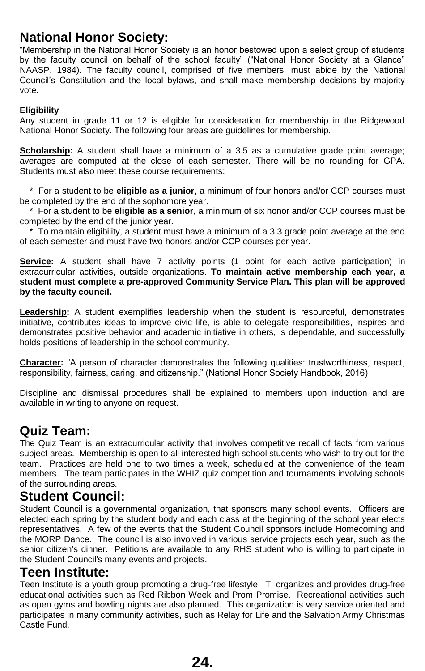### **National Honor Society:**

"Membership in the National Honor Society is an honor bestowed upon a select group of students by the faculty council on behalf of the school faculty" ("National Honor Society at a Glance" NAASP, 1984). The faculty council, comprised of five members, must abide by the National Council's Constitution and the local bylaws, and shall make membership decisions by majority vote.

#### **Eligibility**

Any student in grade 11 or 12 is eligible for consideration for membership in the Ridgewood National Honor Society. The following four areas are guidelines for membership.

**Scholarship:** A student shall have a minimum of a 3.5 as a cumulative grade point average; averages are computed at the close of each semester. There will be no rounding for GPA. Students must also meet these course requirements:

 \* For a student to be **eligible as a junior**, a minimum of four honors and/or CCP courses must be completed by the end of the sophomore year.

 \* For a student to be **eligible as a senior**, a minimum of six honor and/or CCP courses must be completed by the end of the junior year.

 \* To maintain eligibility, a student must have a minimum of a 3.3 grade point average at the end of each semester and must have two honors and/or CCP courses per year.

**Service:** A student shall have 7 activity points (1 point for each active participation) in extracurricular activities, outside organizations. **To maintain active membership each year, a student must complete a pre-approved Community Service Plan. This plan will be approved by the faculty council.**

**Leadership:** A student exemplifies leadership when the student is resourceful, demonstrates initiative, contributes ideas to improve civic life, is able to delegate responsibilities, inspires and demonstrates positive behavior and academic initiative in others, is dependable, and successfully holds positions of leadership in the school community.

**Character:** "A person of character demonstrates the following qualities: trustworthiness, respect, responsibility, fairness, caring, and citizenship." (National Honor Society Handbook, 2016)

Discipline and dismissal procedures shall be explained to members upon induction and are available in writing to anyone on request.

### **Quiz Team:**

The Quiz Team is an extracurricular activity that involves competitive recall of facts from various subject areas. Membership is open to all interested high school students who wish to try out for the team. Practices are held one to two times a week, scheduled at the convenience of the team members. The team participates in the WHIZ quiz competition and tournaments involving schools of the surrounding areas.

### **Student Council:**

Student Council is a governmental organization, that sponsors many school events. Officers are elected each spring by the student body and each class at the beginning of the school year elects representatives. A few of the events that the Student Council sponsors include Homecoming and the MORP Dance. The council is also involved in various service projects each year, such as the senior citizen's dinner. Petitions are available to any RHS student who is willing to participate in the Student Council's many events and projects.

### **Teen Institute:**

Teen Institute is a youth group promoting a drug-free lifestyle. TI organizes and provides drug-free educational activities such as Red Ribbon Week and Prom Promise. Recreational activities such as open gyms and bowling nights are also planned. This organization is very service oriented and participates in many community activities, such as Relay for Life and the Salvation Army Christmas Castle Fund.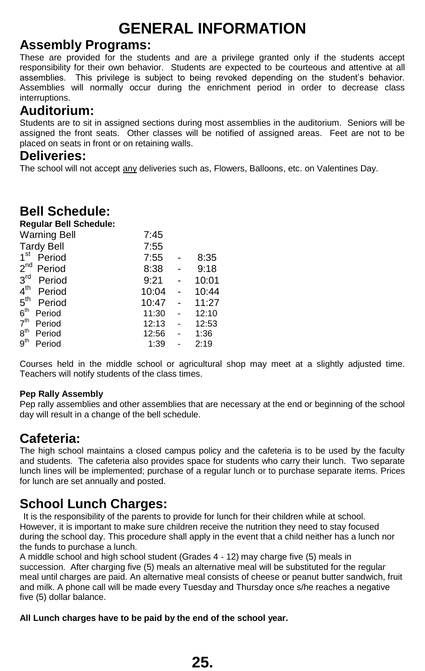# **GENERAL INFORMATION**

### **Assembly Programs:**

These are provided for the students and are a privilege granted only if the students accept responsibility for their own behavior. Students are expected to be courteous and attentive at all assemblies. This privilege is subject to being revoked depending on the student's behavior. Assemblies will normally occur during the enrichment period in order to decrease class interruptions.

### **Auditorium:**

Students are to sit in assigned sections during most assemblies in the auditorium. Seniors will be assigned the front seats. Other classes will be notified of assigned areas. Feet are not to be placed on seats in front or on retaining walls.

### **Deliveries:**

The school will not accept any deliveries such as, Flowers, Balloons, etc. on Valentines Day.

### **Bell Schedule:**

| 7:45  |       |
|-------|-------|
| 7:55  |       |
| 7:55  | 8:35  |
| 8:38  | 9:18  |
| 9:21  | 10:01 |
| 10:04 | 10:44 |
| 10:47 | 11:27 |
| 11:30 | 12:10 |
| 12:13 | 12:53 |
| 12:56 | 1:36  |
| 1:39  | 2:19  |
|       |       |

Courses held in the middle school or agricultural shop may meet at a slightly adjusted time. Teachers will notify students of the class times.

#### **Pep Rally Assembly**

Pep rally assemblies and other assemblies that are necessary at the end or beginning of the school day will result in a change of the bell schedule.

### **Cafeteria:**

The high school maintains a closed campus policy and the cafeteria is to be used by the faculty and students. The cafeteria also provides space for students who carry their lunch. Two separate lunch lines will be implemented; purchase of a regular lunch or to purchase separate items. Prices for lunch are set annually and posted.

### **School Lunch Charges:**

It is the responsibility of the parents to provide for lunch for their children while at school. However, it is important to make sure children receive the nutrition they need to stay focused during the school day. This procedure shall apply in the event that a child neither has a lunch nor the funds to purchase a lunch.

A middle school and high school student (Grades 4 - 12) may charge five (5) meals in succession. After charging five (5) meals an alternative meal will be substituted for the regular meal until charges are paid. An alternative meal consists of cheese or peanut butter sandwich, fruit and milk. A phone call will be made every Tuesday and Thursday once s/he reaches a negative five (5) dollar balance.

#### **All Lunch charges have to be paid by the end of the school year.**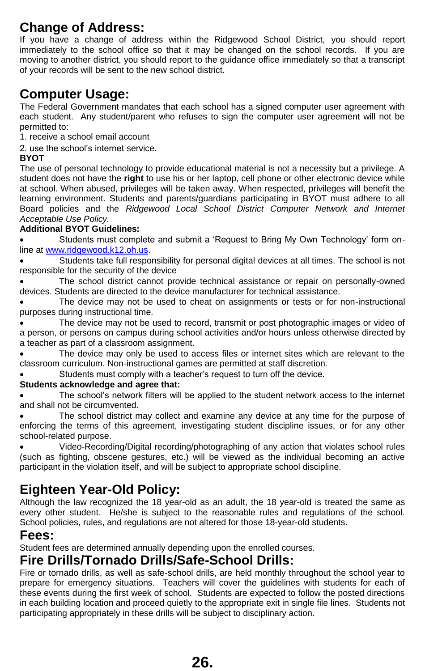## **Change of Address:**

If you have a change of address within the Ridgewood School District, you should report immediately to the school office so that it may be changed on the school records. If you are moving to another district, you should report to the guidance office immediately so that a transcript of your records will be sent to the new school district.

### **Computer Usage:**

The Federal Government mandates that each school has a signed computer user agreement with each student. Any student/parent who refuses to sign the computer user agreement will not be permitted to:

1. receive a school email account

2. use the school's internet service.

#### **BYOT**

The use of personal technology to provide educational material is not a necessity but a privilege. A student does not have the **right** to use his or her laptop, cell phone or other electronic device while at school. When abused, privileges will be taken away. When respected, privileges will benefit the learning environment. Students and parents/guardians participating in BYOT must adhere to all Board policies and the *Ridgewood Local School District Computer Network and Internet Acceptable Use Policy.* 

#### **Additional BYOT Guidelines:**

 Students must complete and submit a 'Request to Bring My Own Technology' form online a[t www.ridgewood.k12.oh.us.](http://www.ridgewood.k12.oh.us/)

 Students take full responsibility for personal digital devices at all times. The school is not responsible for the security of the device

 The school district cannot provide technical assistance or repair on personally-owned devices. Students are directed to the device manufacturer for technical assistance.

• The device may not be used to cheat on assignments or tests or for non-instructional purposes during instructional time.

• The device may not be used to record, transmit or post photographic images or video of a person, or persons on campus during school activities and/or hours unless otherwise directed by a teacher as part of a classroom assignment.

 The device may only be used to access files or internet sites which are relevant to the classroom curriculum. Non-instructional games are permitted at staff discretion.

Students must comply with a teacher's request to turn off the device.

#### **Students acknowledge and agree that:**

 The school's network filters will be applied to the student network access to the internet and shall not be circumvented.

 The school district may collect and examine any device at any time for the purpose of enforcing the terms of this agreement, investigating student discipline issues, or for any other school-related purpose.

 Video-Recording/Digital recording/photographing of any action that violates school rules (such as fighting, obscene gestures, etc.) will be viewed as the individual becoming an active participant in the violation itself, and will be subject to appropriate school discipline.

### **Eighteen Year-Old Policy:**

Although the law recognized the 18 year-old as an adult, the 18 year-old is treated the same as every other student. He/she is subject to the reasonable rules and regulations of the school. School policies, rules, and regulations are not altered for those 18-year-old students.

### **Fees:**

Student fees are determined annually depending upon the enrolled courses.

### **Fire Drills/Tornado Drills/Safe-School Drills:**

Fire or tornado drills, as well as safe-school drills, are held monthly throughout the school year to prepare for emergency situations. Teachers will cover the guidelines with students for each of these events during the first week of school. Students are expected to follow the posted directions in each building location and proceed quietly to the appropriate exit in single file lines. Students not participating appropriately in these drills will be subject to disciplinary action.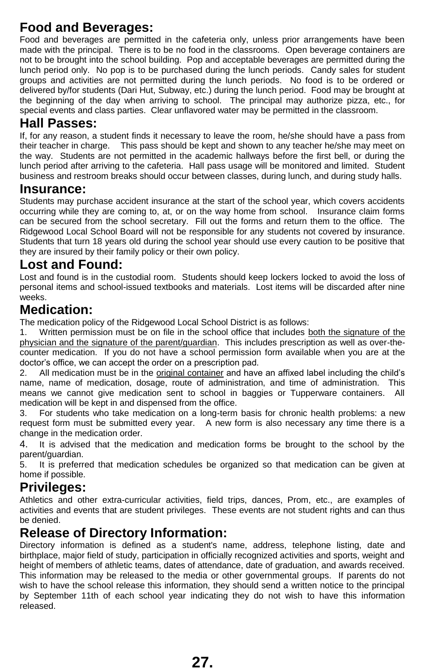# **Food and Beverages:**

Food and beverages are permitted in the cafeteria only, unless prior arrangements have been made with the principal. There is to be no food in the classrooms. Open beverage containers are not to be brought into the school building. Pop and acceptable beverages are permitted during the lunch period only. No pop is to be purchased during the lunch periods. Candy sales for student groups and activities are not permitted during the lunch periods. No food is to be ordered or delivered by/for students (Dari Hut, Subway, etc.) during the lunch period. Food may be brought at the beginning of the day when arriving to school. The principal may authorize pizza, etc., for special events and class parties. Clear unflavored water may be permitted in the classroom.

### **Hall Passes:**

If, for any reason, a student finds it necessary to leave the room, he/she should have a pass from their teacher in charge. This pass should be kept and shown to any teacher he/she may meet on the way. Students are not permitted in the academic hallways before the first bell, or during the lunch period after arriving to the cafeteria. Hall pass usage will be monitored and limited. Student business and restroom breaks should occur between classes, during lunch, and during study halls.

### **Insurance:**

Students may purchase accident insurance at the start of the school year, which covers accidents occurring while they are coming to, at, or on the way home from school. Insurance claim forms can be secured from the school secretary. Fill out the forms and return them to the office. The Ridgewood Local School Board will not be responsible for any students not covered by insurance. Students that turn 18 years old during the school year should use every caution to be positive that they are insured by their family policy or their own policy.

### **Lost and Found:**

Lost and found is in the custodial room. Students should keep lockers locked to avoid the loss of personal items and school-issued textbooks and materials. Lost items will be discarded after nine weeks.

### **Medication:**

The medication policy of the Ridgewood Local School District is as follows:

1. Written permission must be on file in the school office that includes both the signature of the physician and the signature of the parent/guardian. This includes prescription as well as over-thecounter medication. If you do not have a school permission form available when you are at the doctor's office, we can accept the order on a prescription pad.

2. All medication must be in the original container and have an affixed label including the child's name, name of medication, dosage, route of administration, and time of administration. This means we cannot give medication sent to school in baggies or Tupperware containers. All medication will be kept in and dispensed from the office.

3. For students who take medication on a long-term basis for chronic health problems: a new request form must be submitted every year. A new form is also necessary any time there is a change in the medication order.

4. It is advised that the medication and medication forms be brought to the school by the parent/guardian.

5. It is preferred that medication schedules be organized so that medication can be given at home if possible.

### **Privileges:**

Athletics and other extra-curricular activities, field trips, dances, Prom, etc., are examples of activities and events that are student privileges. These events are not student rights and can thus be denied.

### **Release of Directory Information:**

Directory information is defined as a student's name, address, telephone listing, date and birthplace, major field of study, participation in officially recognized activities and sports, weight and height of members of athletic teams, dates of attendance, date of graduation, and awards received. This information may be released to the media or other governmental groups. If parents do not wish to have the school release this information, they should send a written notice to the principal by September 11th of each school year indicating they do not wish to have this information released.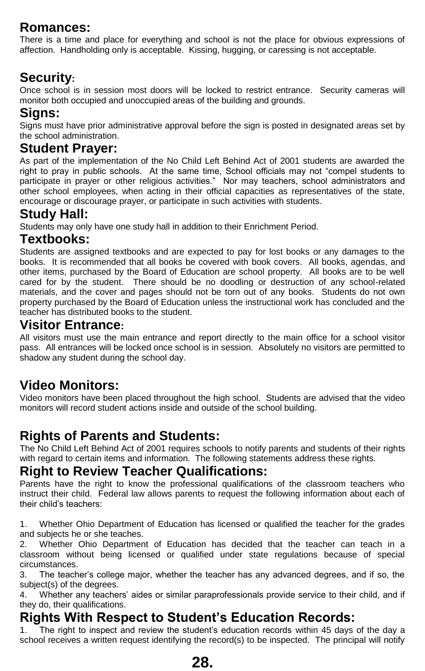### **Romances:**

There is a time and place for everything and school is not the place for obvious expressions of affection. Handholding only is acceptable. Kissing, hugging, or caressing is not acceptable.

### **Security:**

Once school is in session most doors will be locked to restrict entrance. Security cameras will monitor both occupied and unoccupied areas of the building and grounds.

### **Signs:**

Signs must have prior administrative approval before the sign is posted in designated areas set by the school administration.

### **Student Prayer:**

As part of the implementation of the No Child Left Behind Act of 2001 students are awarded the right to pray in public schools. At the same time, School officials may not "compel students to participate in prayer or other religious activities." Nor may teachers, school administrators and other school employees, when acting in their official capacities as representatives of the state, encourage or discourage prayer, or participate in such activities with students.

### **Study Hall:**

Students may only have one study hall in addition to their Enrichment Period.

### **Textbooks:**

Students are assigned textbooks and are expected to pay for lost books or any damages to the books. It is recommended that all books be covered with book covers. All books, agendas, and other items, purchased by the Board of Education are school property. All books are to be well cared for by the student. There should be no doodling or destruction of any school-related materials, and the cover and pages should not be torn out of any books. Students do not own property purchased by the Board of Education unless the instructional work has concluded and the teacher has distributed books to the student.

### **Visitor Entrance:**

All visitors must use the main entrance and report directly to the main office for a school visitor pass. All entrances will be locked once school is in session. Absolutely no visitors are permitted to shadow any student during the school day.

### **Video Monitors:**

Video monitors have been placed throughout the high school. Students are advised that the video monitors will record student actions inside and outside of the school building.

### **Rights of Parents and Students:**

The No Child Left Behind Act of 2001 requires schools to notify parents and students of their rights with regard to certain items and information. The following statements address these rights.

### **Right to Review Teacher Qualifications:**

Parents have the right to know the professional qualifications of the classroom teachers who instruct their child. Federal law allows parents to request the following information about each of their child's teachers:

1. Whether Ohio Department of Education has licensed or qualified the teacher for the grades and subjects he or she teaches.

2. Whether Ohio Department of Education has decided that the teacher can teach in a classroom without being licensed or qualified under state regulations because of special circumstances.

3. The teacher's college major, whether the teacher has any advanced degrees, and if so, the subject(s) of the degrees.

4. Whether any teachers' aides or similar paraprofessionals provide service to their child, and if they do, their qualifications.

### **Rights With Respect to Student's Education Records:**

1. The right to inspect and review the student's education records within 45 days of the day a school receives a written request identifying the record(s) to be inspected. The principal will notify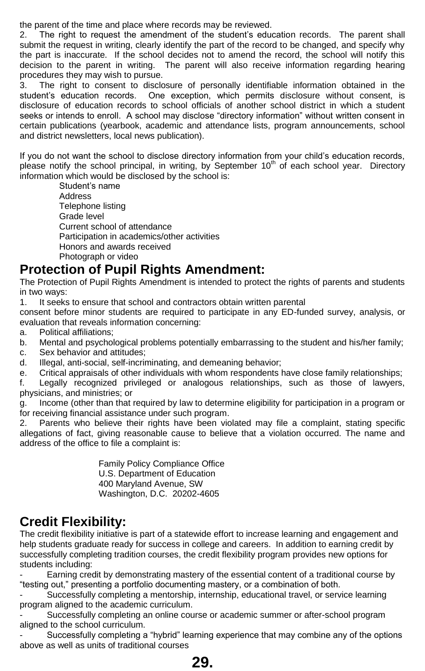the parent of the time and place where records may be reviewed.

2. The right to request the amendment of the student's education records. The parent shall submit the request in writing, clearly identify the part of the record to be changed, and specify why the part is inaccurate. If the school decides not to amend the record, the school will notify this decision to the parent in writing. The parent will also receive information regarding hearing procedures they may wish to pursue.

3. The right to consent to disclosure of personally identifiable information obtained in the student's education records. One exception, which permits disclosure without consent, is disclosure of education records to school officials of another school district in which a student seeks or intends to enroll. A school may disclose "directory information" without written consent in certain publications (yearbook, academic and attendance lists, program announcements, school and district newsletters, local news publication).

If you do not want the school to disclose directory information from your child's education records, please notify the school principal, in writing, by September  $10<sup>th</sup>$  of each school year. Directory information which would be disclosed by the school is:

Student's name Address Telephone listing Grade level Current school of attendance Participation in academics/other activities Honors and awards received Photograph or video

### **Protection of Pupil Rights Amendment:**

The Protection of Pupil Rights Amendment is intended to protect the rights of parents and students in two ways:

1. It seeks to ensure that school and contractors obtain written parental

consent before minor students are required to participate in any ED-funded survey, analysis, or evaluation that reveals information concerning:

a. Political affiliations;

- b. Mental and psychological problems potentially embarrassing to the student and his/her family;<br>c. Sex behavior and attitudes;
- Sex behavior and attitudes;
- d. Illegal, anti-social, self-incriminating, and demeaning behavior;

e. Critical appraisals of other individuals with whom respondents have close family relationships;

f. Legally recognized privileged or analogous relationships, such as those of lawyers, physicians, and ministries; or

g. Income (other than that required by law to determine eligibility for participation in a program or for receiving financial assistance under such program.

2. Parents who believe their rights have been violated may file a complaint, stating specific allegations of fact, giving reasonable cause to believe that a violation occurred. The name and address of the office to file a complaint is:

> Family Policy Compliance Office U.S. Department of Education 400 Maryland Avenue, SW Washington, D.C. 20202-4605

## **Credit Flexibility:**

The credit flexibility initiative is part of a statewide effort to increase learning and engagement and help students graduate ready for success in college and careers. In addition to earning credit by successfully completing tradition courses, the credit flexibility program provides new options for students including:

Earning credit by demonstrating mastery of the essential content of a traditional course by "testing out," presenting a portfolio documenting mastery, or a combination of both.

- Successfully completing a mentorship, internship, educational travel, or service learning program aligned to the academic curriculum.

- Successfully completing an online course or academic summer or after-school program aligned to the school curriculum.

- Successfully completing a "hybrid" learning experience that may combine any of the options above as well as units of traditional courses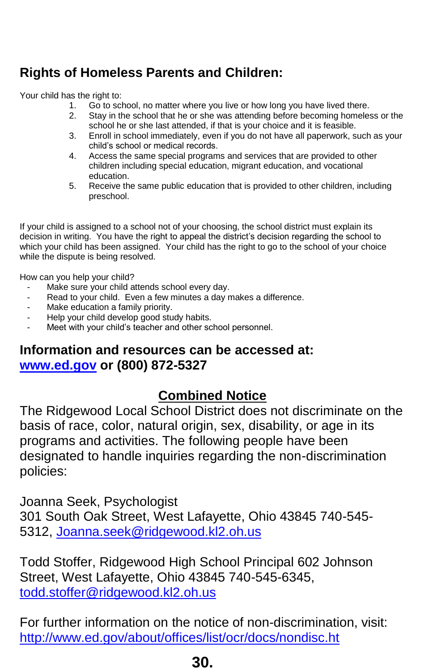# **Rights of Homeless Parents and Children:**

Your child has the right to:

- 1. Go to school, no matter where you live or how long you have lived there.
- 2. Stay in the school that he or she was attending before becoming homeless or the school he or she last attended, if that is your choice and it is feasible.
- 3. Enroll in school immediately, even if you do not have all paperwork, such as your child's school or medical records.
- 4. Access the same special programs and services that are provided to other children including special education, migrant education, and vocational education.
- 5. Receive the same public education that is provided to other children, including preschool.

If your child is assigned to a school not of your choosing, the school district must explain its decision in writing. You have the right to appeal the district's decision regarding the school to which your child has been assigned. Your child has the right to go to the school of your choice while the dispute is being resolved.

How can you help your child?

- Make sure your child attends school every day.
- Read to your child. Even a few minutes a day makes a difference.
- Make education a family priority.
- Help your child develop good study habits.
- Meet with your child's teacher and other school personnel.

### **Information and resources can be accessed at: [www.ed.gov](http://www.ed.gov/) or (800) 872-5327**

### **Combined Notice**

The Ridgewood Local School District does not discriminate on the basis of race, color, natural origin, sex, disability, or age in its programs and activities. The following people have been designated to handle inquiries regarding the non-discrimination policies:

Joanna Seek, Psychologist

301 South Oak Street, West Lafayette, Ohio 43845 740-545- 5312, [Joanna.seek@ridgewood.kl2.oh.us](mailto:Joanna.seek@ridgewood.kl2.oh.us)

Todd Stoffer, Ridgewood High School Principal 602 Johnson Street, West Lafayette, Ohio 43845 740-545-6345, [todd.stoffer@ridgewood.kl2.oh.us](mailto:todd.stoffer@ridgewood.kl2.oh.us)

For further information on the notice of non-discrimination, visit: <http://www.ed.gov/about/offices/list/ocr/docs/nondisc.ht>